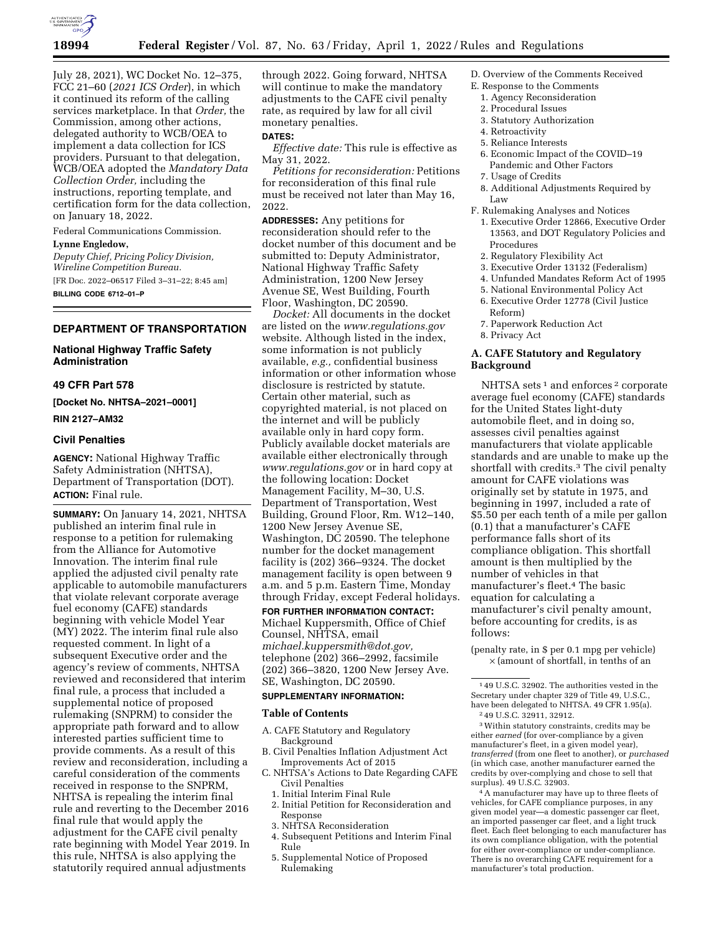

July 28, 2021), WC Docket No. 12–375, FCC 21–60 (*2021 ICS Order*), in which it continued its reform of the calling services marketplace. In that *Order,* the Commission, among other actions, delegated authority to WCB/OEA to implement a data collection for ICS providers. Pursuant to that delegation, WCB/OEA adopted the *Mandatory Data Collection Order,* including the instructions, reporting template, and certification form for the data collection, on January 18, 2022.

Federal Communications Commission.

# **Lynne Engledow,**

*Deputy Chief, Pricing Policy Division, Wireline Competition Bureau.*  [FR Doc. 2022–06517 Filed 3–31–22; 8:45 am] **BILLING CODE 6712–01–P** 

## **DEPARTMENT OF TRANSPORTATION**

**National Highway Traffic Safety Administration** 

### **49 CFR Part 578**

**[Docket No. NHTSA–2021–0001]** 

## **RIN 2127–AM32**

### **Civil Penalties**

**AGENCY:** National Highway Traffic Safety Administration (NHTSA), Department of Transportation (DOT). **ACTION:** Final rule.

**SUMMARY:** On January 14, 2021, NHTSA published an interim final rule in response to a petition for rulemaking from the Alliance for Automotive Innovation. The interim final rule applied the adjusted civil penalty rate applicable to automobile manufacturers that violate relevant corporate average fuel economy (CAFE) standards beginning with vehicle Model Year (MY) 2022. The interim final rule also requested comment. In light of a subsequent Executive order and the agency's review of comments, NHTSA reviewed and reconsidered that interim final rule, a process that included a supplemental notice of proposed rulemaking (SNPRM) to consider the appropriate path forward and to allow interested parties sufficient time to provide comments. As a result of this review and reconsideration, including a careful consideration of the comments received in response to the SNPRM, NHTSA is repealing the interim final rule and reverting to the December 2016 final rule that would apply the adjustment for the CAFE civil penalty rate beginning with Model Year 2019. In this rule, NHTSA is also applying the statutorily required annual adjustments

through 2022. Going forward, NHTSA will continue to make the mandatory adjustments to the CAFE civil penalty rate, as required by law for all civil monetary penalties.

### **DATES:**

*Effective date:* This rule is effective as May 31, 2022.

*Petitions for reconsideration:* Petitions for reconsideration of this final rule must be received not later than May 16, 2022.

**ADDRESSES:** Any petitions for reconsideration should refer to the docket number of this document and be submitted to: Deputy Administrator, National Highway Traffic Safety Administration, 1200 New Jersey Avenue SE, West Building, Fourth Floor, Washington, DC 20590.

*Docket:* All documents in the docket are listed on the *[www.regulations.gov](http://www.regulations.gov)*  website. Although listed in the index, some information is not publicly available, *e.g.,* confidential business information or other information whose disclosure is restricted by statute. Certain other material, such as copyrighted material, is not placed on the internet and will be publicly available only in hard copy form. Publicly available docket materials are available either electronically through *[www.regulations.gov](http://www.regulations.gov)* or in hard copy at the following location: Docket Management Facility, M–30, U.S. Department of Transportation, West Building, Ground Floor, Rm. W12–140, 1200 New Jersey Avenue SE, Washington, DC 20590. The telephone number for the docket management facility is (202) 366–9324. The docket management facility is open between 9 a.m. and 5 p.m. Eastern Time, Monday through Friday, except Federal holidays.

**FOR FURTHER INFORMATION CONTACT:**  Michael Kuppersmith, Office of Chief Counsel, NHTSA, email *[michael.kuppersmith@dot.gov,](mailto:michael.kuppersmith@dot.gov)*  telephone (202) 366–2992, facsimile (202) 366–3820, 1200 New Jersey Ave. SE, Washington, DC 20590.

### **SUPPLEMENTARY INFORMATION:**

#### **Table of Contents**

- A. CAFE Statutory and Regulatory Background
- B. Civil Penalties Inflation Adjustment Act Improvements Act of 2015
- C. NHTSA's Actions to Date Regarding CAFE Civil Penalties
	- 1. Initial Interim Final Rule
	- 2. Initial Petition for Reconsideration and Response
	- 3. NHTSA Reconsideration
	- 4. Subsequent Petitions and Interim Final Rule
	- 5. Supplemental Notice of Proposed Rulemaking
- D. Overview of the Comments Received
- E. Response to the Comments
- 1. Agency Reconsideration
- 2. Procedural Issues 3. Statutory Authorization
- 4. Retroactivity
- 5. Reliance Interests
- 6. Economic Impact of the COVID–19
- Pandemic and Other Factors 7. Usage of Credits
- 
- 8. Additional Adjustments Required by Law
- F. Rulemaking Analyses and Notices
	- 1. Executive Order 12866, Executive Order 13563, and DOT Regulatory Policies and Procedures
	- 2. Regulatory Flexibility Act
	- 3. Executive Order 13132 (Federalism)
	- 4. Unfunded Mandates Reform Act of 1995
	- 5. National Environmental Policy Act 6. Executive Order 12778 (Civil Justice Reform)
	- 7. Paperwork Reduction Act
	- 8. Privacy Act

### **A. CAFE Statutory and Regulatory Background**

NHTSA sets<sup>1</sup> and enforces<sup>2</sup> corporate average fuel economy (CAFE) standards for the United States light-duty automobile fleet, and in doing so, assesses civil penalties against manufacturers that violate applicable standards and are unable to make up the shortfall with credits.3 The civil penalty amount for CAFE violations was originally set by statute in 1975, and beginning in 1997, included a rate of \$5.50 per each tenth of a mile per gallon (0.1) that a manufacturer's CAFE performance falls short of its compliance obligation. This shortfall amount is then multiplied by the number of vehicles in that manufacturer's fleet.4 The basic equation for calculating a manufacturer's civil penalty amount, before accounting for credits, is as follows:

(penalty rate, in \$ per 0.1 mpg per vehicle)  $\times$  (amount of shortfall, in tenths of an

3Within statutory constraints, credits may be either *earned* (for over-compliance by a given manufacturer's fleet, in a given model year), *transferred* (from one fleet to another), or *purchased*  (in which case, another manufacturer earned the credits by over-complying and chose to sell that surplus). 49 U.S.C. 32903.

4A manufacturer may have up to three fleets of vehicles, for CAFE compliance purposes, in any given model year—a domestic passenger car fleet, an imported passenger car fleet, and a light truck fleet. Each fleet belonging to each manufacturer has its own compliance obligation, with the potential for either over-compliance or under-compliance. There is no overarching CAFE requirement for a manufacturer's total production.

<sup>1</sup> 49 U.S.C. 32902. The authorities vested in the Secretary under chapter 329 of Title 49, U.S.C. have been delegated to NHTSA. 49 CFR 1.95(a). 2 49 U.S.C. 32911, 32912.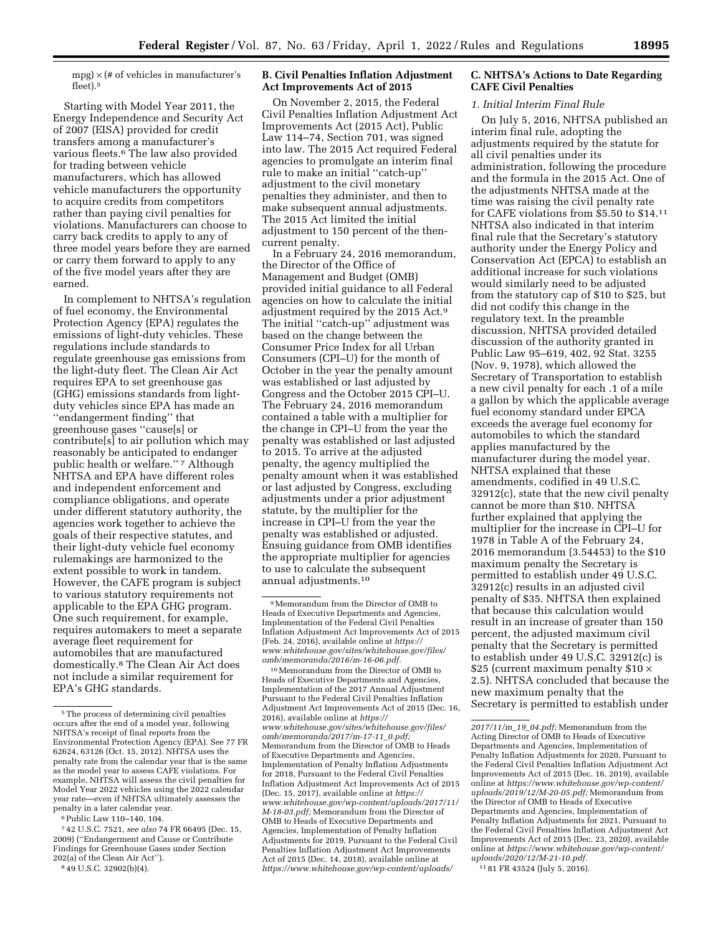$mpg$   $\times$  (# of vehicles in manufacturer's fleet).5

Starting with Model Year 2011, the Energy Independence and Security Act of 2007 (EISA) provided for credit transfers among a manufacturer's various fleets.6 The law also provided for trading between vehicle manufacturers, which has allowed vehicle manufacturers the opportunity to acquire credits from competitors rather than paying civil penalties for violations. Manufacturers can choose to carry back credits to apply to any of three model years before they are earned or carry them forward to apply to any of the five model years after they are earned.

In complement to NHTSA's regulation of fuel economy, the Environmental Protection Agency (EPA) regulates the emissions of light-duty vehicles. These regulations include standards to regulate greenhouse gas emissions from the light-duty fleet. The Clean Air Act requires EPA to set greenhouse gas (GHG) emissions standards from lightduty vehicles since EPA has made an ''endangerment finding'' that greenhouse gases ''cause[s] or contribute[s] to air pollution which may reasonably be anticipated to endanger public health or welfare."<sup>7</sup> Although NHTSA and EPA have different roles and independent enforcement and compliance obligations, and operate under different statutory authority, the agencies work together to achieve the goals of their respective statutes, and their light-duty vehicle fuel economy rulemakings are harmonized to the extent possible to work in tandem. However, the CAFE program is subject to various statutory requirements not applicable to the EPA GHG program. One such requirement, for example, requires automakers to meet a separate average fleet requirement for automobiles that are manufactured domestically.8 The Clean Air Act does not include a similar requirement for EPA's GHG standards.

6Public Law 110–140, 104.

### 8 49 U.S.C. 32902(b)(4).

### **B. Civil Penalties Inflation Adjustment Act Improvements Act of 2015**

On November 2, 2015, the Federal Civil Penalties Inflation Adjustment Act Improvements Act (2015 Act), Public Law 114–74, Section 701, was signed into law. The 2015 Act required Federal agencies to promulgate an interim final rule to make an initial ''catch-up'' adjustment to the civil monetary penalties they administer, and then to make subsequent annual adjustments. The 2015 Act limited the initial adjustment to 150 percent of the thencurrent penalty.

In a February 24, 2016 memorandum, the Director of the Office of Management and Budget (OMB) provided initial guidance to all Federal agencies on how to calculate the initial adjustment required by the 2015 Act.9 The initial ''catch-up'' adjustment was based on the change between the Consumer Price Index for all Urban Consumers (CPI–U) for the month of October in the year the penalty amount was established or last adjusted by Congress and the October 2015 CPI–U. The February 24, 2016 memorandum contained a table with a multiplier for the change in CPI–U from the year the penalty was established or last adjusted to 2015. To arrive at the adjusted penalty, the agency multiplied the penalty amount when it was established or last adjusted by Congress, excluding adjustments under a prior adjustment statute, by the multiplier for the increase in CPI–U from the year the penalty was established or adjusted. Ensuing guidance from OMB identifies the appropriate multiplier for agencies to use to calculate the subsequent annual adjustments.10

10Memorandum from the Director of OMB to Heads of Executive Departments and Agencies, Implementation of the 2017 Annual Adjustment Pursuant to the Federal Civil Penalties Inflation Adjustment Act Improvements Act of 2015 (Dec. 16, 2016), available online at *[https://](https://www.whitehouse.gov/sites/whitehouse.gov/files/omb/memoranda/2017/m-17-11_0.pdf) [www.whitehouse.gov/sites/whitehouse.gov/files/](https://www.whitehouse.gov/sites/whitehouse.gov/files/omb/memoranda/2017/m-17-11_0.pdf)  [omb/memoranda/2017/m-17-11](https://www.whitehouse.gov/sites/whitehouse.gov/files/omb/memoranda/2017/m-17-11_0.pdf)*\_*0.pdf;*  Memorandum from the Director of OMB to Heads of Executive Departments and Agencies, Implementation of Penalty Inflation Adjustments for 2018, Pursuant to the Federal Civil Penalties Inflation Adjustment Act Improvements Act of 2015 (Dec. 15, 2017), available online at *[https://](https://www.whitehouse.gov/wp-content/uploads/2017/11/M-18-03.pdf) [www.whitehouse.gov/wp-content/uploads/2017/11/](https://www.whitehouse.gov/wp-content/uploads/2017/11/M-18-03.pdf) [M-18-03.pdf;](https://www.whitehouse.gov/wp-content/uploads/2017/11/M-18-03.pdf)* Memorandum from the Director of OMB to Heads of Executive Departments and Agencies, Implementation of Penalty Inflation Adjustments for 2019, Pursuant to the Federal Civil Penalties Inflation Adjustment Act Improvements Act of 2015 (Dec. 14, 2018), available online at *[https://www.whitehouse.gov/wp-content/uploads/](https://www.whitehouse.gov/wp-content/uploads/2017/11/m_19_04.pdf)* 

### **C. NHTSA's Actions to Date Regarding CAFE Civil Penalties**

#### *1. Initial Interim Final Rule*

On July 5, 2016, NHTSA published an interim final rule, adopting the adjustments required by the statute for all civil penalties under its administration, following the procedure and the formula in the 2015 Act. One of the adjustments NHTSA made at the time was raising the civil penalty rate for CAFE violations from \$5.50 to \$14.11 NHTSA also indicated in that interim final rule that the Secretary's statutory authority under the Energy Policy and Conservation Act (EPCA) to establish an additional increase for such violations would similarly need to be adjusted from the statutory cap of \$10 to \$25, but did not codify this change in the regulatory text. In the preamble discussion, NHTSA provided detailed discussion of the authority granted in Public Law 95–619, 402, 92 Stat. 3255 (Nov. 9, 1978), which allowed the Secretary of Transportation to establish a new civil penalty for each .1 of a mile a gallon by which the applicable average fuel economy standard under EPCA exceeds the average fuel economy for automobiles to which the standard applies manufactured by the manufacturer during the model year. NHTSA explained that these amendments, codified in 49 U.S.C. 32912(c), state that the new civil penalty cannot be more than \$10. NHTSA further explained that applying the multiplier for the increase in CPI–U for 1978 in Table A of the February 24, 2016 memorandum (3.54453) to the \$10 maximum penalty the Secretary is permitted to establish under 49 U.S.C. 32912(c) results in an adjusted civil penalty of \$35. NHTSA then explained that because this calculation would result in an increase of greater than 150 percent, the adjusted maximum civil penalty that the Secretary is permitted to establish under 49 U.S.C. 32912(c) is \$25 (current maximum penalty \$10 × 2.5). NHTSA concluded that because the new maximum penalty that the Secretary is permitted to establish under

 $^{\rm 5}$  The process of determining civil penalties occurs after the end of a model year, following NHTSA's receipt of final reports from the Environmental Protection Agency (EPA). See 77 FR 62624, 63126 (Oct. 15, 2012). NHTSA uses the penalty rate from the calendar year that is the same as the model year to assess CAFE violations. For example, NHTSA will assess the civil penalties for Model Year 2022 vehicles using the 2022 calendar year rate—even if NHTSA ultimately assesses the penalty in a later calendar year.

<sup>7</sup> 42 U.S.C. 7521, *see also* 74 FR 66495 (Dec. 15, 2009) (''Endangerment and Cause or Contribute Findings for Greenhouse Gases under Section 202(a) of the Clean Air Act'').

<sup>9</sup>Memorandum from the Director of OMB to Heads of Executive Departments and Agencies, Implementation of the Federal Civil Penalties Inflation Adjustment Act Improvements Act of 2015 (Feb. 24, 2016), available online at *[https://](https://www.whitehouse.gov/sites/whitehouse.gov/files/omb/memoranda/2016/m-16-06.pdf) [www.whitehouse.gov/sites/whitehouse.gov/files/](https://www.whitehouse.gov/sites/whitehouse.gov/files/omb/memoranda/2016/m-16-06.pdf)  [omb/memoranda/2016/m-16-06.pdf.](https://www.whitehouse.gov/sites/whitehouse.gov/files/omb/memoranda/2016/m-16-06.pdf)* 

*[<sup>2017/11/</sup>m](https://www.whitehouse.gov/wp-content/uploads/2017/11/m_19_04.pdf)*\_*19*\_*04.pdf;* Memorandum from the Acting Director of OMB to Heads of Executive Departments and Agencies, Implementation of Penalty Inflation Adjustments for 2020, Pursuant to the Federal Civil Penalties Inflation Adjustment Act Improvements Act of 2015 (Dec. 16, 2019), available online at *[https://www.whitehouse.gov/wp-content/](https://www.whitehouse.gov/wp-content/uploads/2019/12/M-20-05.pdf) [uploads/2019/12/M-20-05.pdf;](https://www.whitehouse.gov/wp-content/uploads/2019/12/M-20-05.pdf)* Memorandum from the Director of OMB to Heads of Executive Departments and Agencies, Implementation of Penalty Inflation Adjustments for 2021, Pursuant to the Federal Civil Penalties Inflation Adjustment Act Improvements Act of 2015 (Dec. 23, 2020), available online at *[https://www.whitehouse.gov/wp-content/](https://www.whitehouse.gov/wp-content/uploads/2020/12/M-21-10.pdf) [uploads/2020/12/M-21-10.pdf.](https://www.whitehouse.gov/wp-content/uploads/2020/12/M-21-10.pdf)* 

<sup>11</sup> 81 FR 43524 (July 5, 2016).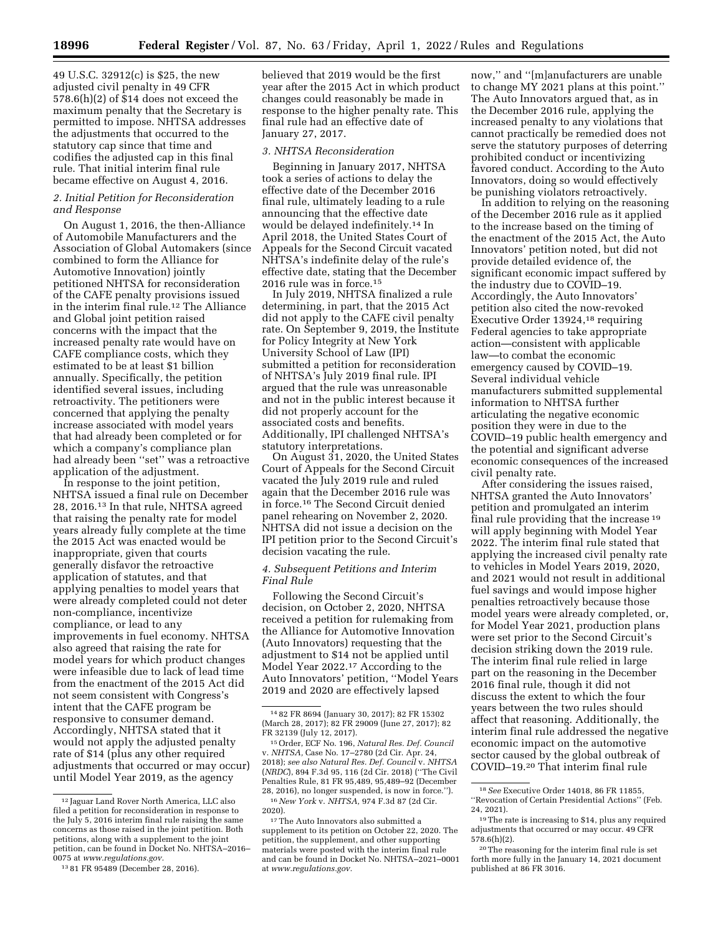49 U.S.C. 32912(c) is \$25, the new adjusted civil penalty in 49 CFR 578.6(h)(2) of \$14 does not exceed the maximum penalty that the Secretary is permitted to impose. NHTSA addresses the adjustments that occurred to the statutory cap since that time and codifies the adjusted cap in this final rule. That initial interim final rule became effective on August 4, 2016.

#### *2. Initial Petition for Reconsideration and Response*

On August 1, 2016, the then-Alliance of Automobile Manufacturers and the Association of Global Automakers (since combined to form the Alliance for Automotive Innovation) jointly petitioned NHTSA for reconsideration of the CAFE penalty provisions issued in the interim final rule.12 The Alliance and Global joint petition raised concerns with the impact that the increased penalty rate would have on CAFE compliance costs, which they estimated to be at least \$1 billion annually. Specifically, the petition identified several issues, including retroactivity. The petitioners were concerned that applying the penalty increase associated with model years that had already been completed or for which a company's compliance plan had already been ''set'' was a retroactive application of the adjustment.

In response to the joint petition, NHTSA issued a final rule on December 28, 2016.13 In that rule, NHTSA agreed that raising the penalty rate for model years already fully complete at the time the 2015 Act was enacted would be inappropriate, given that courts generally disfavor the retroactive application of statutes, and that applying penalties to model years that were already completed could not deter non-compliance, incentivize compliance, or lead to any improvements in fuel economy. NHTSA also agreed that raising the rate for model years for which product changes were infeasible due to lack of lead time from the enactment of the 2015 Act did not seem consistent with Congress's intent that the CAFE program be responsive to consumer demand. Accordingly, NHTSA stated that it would not apply the adjusted penalty rate of \$14 (plus any other required adjustments that occurred or may occur) until Model Year 2019, as the agency

believed that 2019 would be the first year after the 2015 Act in which product changes could reasonably be made in response to the higher penalty rate. This final rule had an effective date of January 27, 2017.

#### *3. NHTSA Reconsideration*

Beginning in January 2017, NHTSA took a series of actions to delay the effective date of the December 2016 final rule, ultimately leading to a rule announcing that the effective date would be delayed indefinitely.14 In April 2018, the United States Court of Appeals for the Second Circuit vacated NHTSA's indefinite delay of the rule's effective date, stating that the December 2016 rule was in force.15

In July 2019, NHTSA finalized a rule determining, in part, that the 2015 Act did not apply to the CAFE civil penalty rate. On September 9, 2019, the Institute for Policy Integrity at New York University School of Law (IPI) submitted a petition for reconsideration of NHTSA's July 2019 final rule. IPI argued that the rule was unreasonable and not in the public interest because it did not properly account for the associated costs and benefits. Additionally, IPI challenged NHTSA's statutory interpretations.

On August 31, 2020, the United States Court of Appeals for the Second Circuit vacated the July 2019 rule and ruled again that the December 2016 rule was in force.16 The Second Circuit denied panel rehearing on November 2, 2020. NHTSA did not issue a decision on the IPI petition prior to the Second Circuit's decision vacating the rule.

### *4. Subsequent Petitions and Interim Final Rule*

Following the Second Circuit's decision, on October 2, 2020, NHTSA received a petition for rulemaking from the Alliance for Automotive Innovation (Auto Innovators) requesting that the adjustment to \$14 not be applied until Model Year 2022.17 According to the Auto Innovators' petition, ''Model Years 2019 and 2020 are effectively lapsed

now,'' and ''[m]anufacturers are unable to change MY 2021 plans at this point.'' The Auto Innovators argued that, as in the December 2016 rule, applying the increased penalty to any violations that cannot practically be remedied does not serve the statutory purposes of deterring prohibited conduct or incentivizing favored conduct. According to the Auto Innovators, doing so would effectively be punishing violators retroactively.

In addition to relying on the reasoning of the December 2016 rule as it applied to the increase based on the timing of the enactment of the 2015 Act, the Auto Innovators' petition noted, but did not provide detailed evidence of, the significant economic impact suffered by the industry due to COVID–19. Accordingly, the Auto Innovators' petition also cited the now-revoked Executive Order 13924,18 requiring Federal agencies to take appropriate action—consistent with applicable law—to combat the economic emergency caused by COVID–19. Several individual vehicle manufacturers submitted supplemental information to NHTSA further articulating the negative economic position they were in due to the COVID–19 public health emergency and the potential and significant adverse economic consequences of the increased civil penalty rate.

After considering the issues raised, NHTSA granted the Auto Innovators' petition and promulgated an interim final rule providing that the increase 19 will apply beginning with Model Year 2022. The interim final rule stated that applying the increased civil penalty rate to vehicles in Model Years 2019, 2020, and 2021 would not result in additional fuel savings and would impose higher penalties retroactively because those model years were already completed, or, for Model Year 2021, production plans were set prior to the Second Circuit's decision striking down the 2019 rule. The interim final rule relied in large part on the reasoning in the December 2016 final rule, though it did not discuss the extent to which the four years between the two rules should affect that reasoning. Additionally, the interim final rule addressed the negative economic impact on the automotive sector caused by the global outbreak of COVID–19.20 That interim final rule

<sup>12</sup> Jaguar Land Rover North America, LLC also filed a petition for reconsideration in response to the July 5, 2016 interim final rule raising the same concerns as those raised in the joint petition. Both petitions, along with a supplement to the joint petition, can be found in Docket No. NHTSA–2016– 0075 at *[www.regulations.gov.](http://www.regulations.gov)* 

<sup>13</sup> 81 FR 95489 (December 28, 2016).

<sup>14</sup> 82 FR 8694 (January 30, 2017); 82 FR 15302 (March 28, 2017); 82 FR 29009 (June 27, 2017); 82 FR 32139 (July 12, 2017).

<sup>15</sup>Order, ECF No. 196, *Natural Res. Def. Council*  v. *NHTSA,* Case No. 17–2780 (2d Cir. Apr. 24, 2018); *see also Natural Res. Def. Council* v. *NHTSA*  (*NRDC*), 894 F.3d 95, 116 (2d Cir. 2018) (''The Civil Penalties Rule, 81 FR 95,489, 95,489–92 (December 28, 2016), no longer suspended, is now in force.''). 16*New York* v. *NHTSA,* 974 F.3d 87 (2d Cir.

<sup>2020).</sup> 

<sup>17</sup>The Auto Innovators also submitted a supplement to its petition on October 22, 2020. The petition, the supplement, and other supporting materials were posted with the interim final rule and can be found in Docket No. NHTSA–2021–0001 at *[www.regulations.gov.](http://www.regulations.gov)* 

<sup>18</sup>*See* Executive Order 14018, 86 FR 11855, ''Revocation of Certain Presidential Actions'' (Feb. 24, 2021).

<sup>19</sup>The rate is increasing to \$14, plus any required adjustments that occurred or may occur. 49 CFR 578.6(h)(2).

<sup>20</sup>The reasoning for the interim final rule is set forth more fully in the January 14, 2021 document published at 86 FR 3016.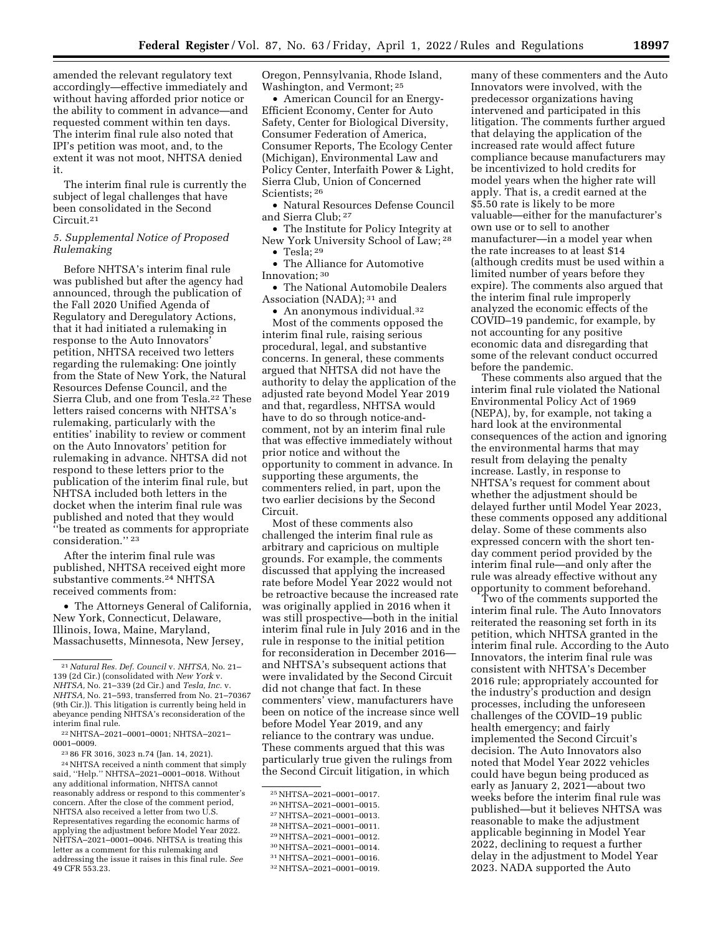amended the relevant regulatory text accordingly—effective immediately and without having afforded prior notice or the ability to comment in advance—and requested comment within ten days. The interim final rule also noted that IPI's petition was moot, and, to the extent it was not moot, NHTSA denied it.

The interim final rule is currently the subject of legal challenges that have been consolidated in the Second Circuit.21

### *5. Supplemental Notice of Proposed Rulemaking*

Before NHTSA's interim final rule was published but after the agency had announced, through the publication of the Fall 2020 Unified Agenda of Regulatory and Deregulatory Actions, that it had initiated a rulemaking in response to the Auto Innovators' petition, NHTSA received two letters regarding the rulemaking: One jointly from the State of New York, the Natural Resources Defense Council, and the Sierra Club, and one from Tesla.22 These letters raised concerns with NHTSA's rulemaking, particularly with the entities' inability to review or comment on the Auto Innovators' petition for rulemaking in advance. NHTSA did not respond to these letters prior to the publication of the interim final rule, but NHTSA included both letters in the docket when the interim final rule was published and noted that they would ''be treated as comments for appropriate consideration.'' 23

After the interim final rule was published, NHTSA received eight more substantive comments.24 NHTSA received comments from:

• The Attorneys General of California, New York, Connecticut, Delaware, Illinois, Iowa, Maine, Maryland, Massachusetts, Minnesota, New Jersey,

23 86 FR 3016, 3023 n.74 (Jan. 14, 2021).

24NHTSA received a ninth comment that simply said, ''Help.'' NHTSA–2021–0001–0018. Without any additional information, NHTSA cannot reasonably address or respond to this commenter's concern. After the close of the comment period, NHTSA also received a letter from two U.S. Representatives regarding the economic harms of applying the adjustment before Model Year 2022. NHTSA–2021–0001–0046. NHTSA is treating this letter as a comment for this rulemaking and addressing the issue it raises in this final rule. *See*  49 CFR 553.23.

Oregon, Pennsylvania, Rhode Island, Washington, and Vermont; 25

• American Council for an Energy-Efficient Economy, Center for Auto Safety, Center for Biological Diversity, Consumer Federation of America, Consumer Reports, The Ecology Center (Michigan), Environmental Law and Policy Center, Interfaith Power & Light, Sierra Club, Union of Concerned Scientists; 26

• Natural Resources Defense Council and Sierra Club; 27

• The Institute for Policy Integrity at New York University School of Law; 28  $\bullet$  Tesla; <sup>29</sup>

• The Alliance for Automotive Innovation; 30

• The National Automobile Dealers Association (NADA); 31 and

• An anonymous individual.<sup>32</sup> Most of the comments opposed the interim final rule, raising serious procedural, legal, and substantive concerns. In general, these comments argued that NHTSA did not have the authority to delay the application of the adjusted rate beyond Model Year 2019 and that, regardless, NHTSA would have to do so through notice-andcomment, not by an interim final rule that was effective immediately without prior notice and without the opportunity to comment in advance. In supporting these arguments, the commenters relied, in part, upon the two earlier decisions by the Second Circuit.

Most of these comments also challenged the interim final rule as arbitrary and capricious on multiple grounds. For example, the comments discussed that applying the increased rate before Model Year 2022 would not be retroactive because the increased rate was originally applied in 2016 when it was still prospective—both in the initial interim final rule in July 2016 and in the rule in response to the initial petition for reconsideration in December 2016 and NHTSA's subsequent actions that were invalidated by the Second Circuit did not change that fact. In these commenters' view, manufacturers have been on notice of the increase since well before Model Year 2019, and any reliance to the contrary was undue. These comments argued that this was particularly true given the rulings from the Second Circuit litigation, in which

- 27NHTSA–2021–0001–0013. 28NHTSA–2021–0001–0011.
- 29NHTSA–2021–0001–0012.
- 30NHTSA–2021–0001–0014.
- 31NHTSA–2021–0001–0016.

many of these commenters and the Auto Innovators were involved, with the predecessor organizations having intervened and participated in this litigation. The comments further argued that delaying the application of the increased rate would affect future compliance because manufacturers may be incentivized to hold credits for model years when the higher rate will apply. That is, a credit earned at the \$5.50 rate is likely to be more valuable—either for the manufacturer's own use or to sell to another manufacturer—in a model year when the rate increases to at least \$14 (although credits must be used within a limited number of years before they expire). The comments also argued that the interim final rule improperly analyzed the economic effects of the COVID–19 pandemic, for example, by not accounting for any positive economic data and disregarding that some of the relevant conduct occurred before the pandemic.

These comments also argued that the interim final rule violated the National Environmental Policy Act of 1969 (NEPA), by, for example, not taking a hard look at the environmental consequences of the action and ignoring the environmental harms that may result from delaying the penalty increase. Lastly, in response to NHTSA's request for comment about whether the adjustment should be delayed further until Model Year 2023, these comments opposed any additional delay. Some of these comments also expressed concern with the short tenday comment period provided by the interim final rule—and only after the rule was already effective without any opportunity to comment beforehand.

Two of the comments supported the interim final rule. The Auto Innovators reiterated the reasoning set forth in its petition, which NHTSA granted in the interim final rule. According to the Auto Innovators, the interim final rule was consistent with NHTSA's December 2016 rule; appropriately accounted for the industry's production and design processes, including the unforeseen challenges of the COVID–19 public health emergency; and fairly implemented the Second Circuit's decision. The Auto Innovators also noted that Model Year 2022 vehicles could have begun being produced as early as January 2, 2021—about two weeks before the interim final rule was published—but it believes NHTSA was reasonable to make the adjustment applicable beginning in Model Year 2022, declining to request a further delay in the adjustment to Model Year 2023. NADA supported the Auto

<sup>21</sup>*Natural Res. Def. Council* v. *NHTSA,* No. 21– 139 (2d Cir.) (consolidated with *New York* v. *NHTSA,* No. 21–339 (2d Cir.) and *Tesla, Inc.* v. *NHTSA,* No. 21–593, transferred from No. 21–70367 (9th Cir.)). This litigation is currently being held in abeyance pending NHTSA's reconsideration of the interim final rule.

<sup>22</sup>NHTSA–2021–0001–0001; NHTSA–2021– 0001–0009.

<sup>25</sup>NHTSA–2021–0001–0017.

<sup>26</sup>NHTSA–2021–0001–0015.

<sup>32</sup>NHTSA–2021–0001–0019.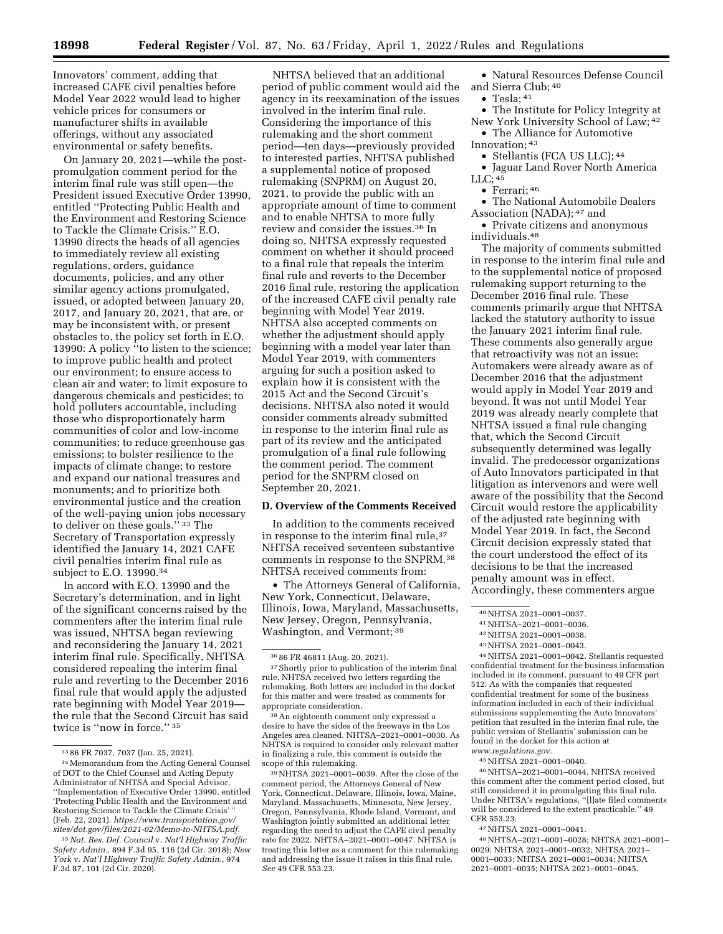Innovators' comment, adding that increased CAFE civil penalties before Model Year 2022 would lead to higher vehicle prices for consumers or manufacturer shifts in available offerings, without any associated environmental or safety benefits.

On January 20, 2021—while the postpromulgation comment period for the interim final rule was still open—the President issued Executive Order 13990, entitled ''Protecting Public Health and the Environment and Restoring Science to Tackle the Climate Crisis.'' E.O. 13990 directs the heads of all agencies to immediately review all existing regulations, orders, guidance documents, policies, and any other similar agency actions promulgated, issued, or adopted between January 20, 2017, and January 20, 2021, that are, or may be inconsistent with, or present obstacles to, the policy set forth in E.O. 13990: A policy ''to listen to the science; to improve public health and protect our environment; to ensure access to clean air and water; to limit exposure to dangerous chemicals and pesticides; to hold polluters accountable, including those who disproportionately harm communities of color and low-income communities; to reduce greenhouse gas emissions; to bolster resilience to the impacts of climate change; to restore and expand our national treasures and monuments; and to prioritize both environmental justice and the creation of the well-paying union jobs necessary to deliver on these goals.'' 33 The Secretary of Transportation expressly identified the January 14, 2021 CAFE civil penalties interim final rule as subject to E.O. 13990.34

In accord with E.O. 13990 and the Secretary's determination, and in light of the significant concerns raised by the commenters after the interim final rule was issued, NHTSA began reviewing and reconsidering the January 14, 2021 interim final rule. Specifically, NHTSA considered repealing the interim final rule and reverting to the December 2016 final rule that would apply the adjusted rate beginning with Model Year 2019 the rule that the Second Circuit has said twice is "now in force." 35

NHTSA believed that an additional period of public comment would aid the agency in its reexamination of the issues involved in the interim final rule. Considering the importance of this rulemaking and the short comment period—ten days—previously provided to interested parties, NHTSA published a supplemental notice of proposed rulemaking (SNPRM) on August 20, 2021, to provide the public with an appropriate amount of time to comment and to enable NHTSA to more fully review and consider the issues.36 In doing so, NHTSA expressly requested comment on whether it should proceed to a final rule that repeals the interim final rule and reverts to the December 2016 final rule, restoring the application of the increased CAFE civil penalty rate beginning with Model Year 2019. NHTSA also accepted comments on whether the adjustment should apply beginning with a model year later than Model Year 2019, with commenters arguing for such a position asked to explain how it is consistent with the 2015 Act and the Second Circuit's decisions. NHTSA also noted it would consider comments already submitted in response to the interim final rule as part of its review and the anticipated promulgation of a final rule following the comment period. The comment period for the SNPRM closed on September 20, 2021.

#### **D. Overview of the Comments Received**

In addition to the comments received in response to the interim final rule, 37 NHTSA received seventeen substantive comments in response to the SNPRM.38 NHTSA received comments from:

• The Attorneys General of California, New York, Connecticut, Delaware, Illinois, Iowa, Maryland, Massachusetts, New Jersey, Oregon, Pennsylvania, Washington, and Vermont; 39

• Natural Resources Defense Council and Sierra Club; 40

 $\bullet$  Tesla;  $41$ 

• The Institute for Policy Integrity at New York University School of Law; 42 • The Alliance for Automotive

Innovation; 43

• Stellantis (FCA US LLC); <sup>44</sup>

• Jaguar Land Rover North America  $LLC$ ;  $45$ 

• Ferrari; 46

• The National Automobile Dealers Association (NADA); 47 and

• Private citizens and anonymous individuals.48

The majority of comments submitted in response to the interim final rule and to the supplemental notice of proposed rulemaking support returning to the December 2016 final rule. These comments primarily argue that NHTSA lacked the statutory authority to issue the January 2021 interim final rule. These comments also generally argue that retroactivity was not an issue: Automakers were already aware as of December 2016 that the adjustment would apply in Model Year 2019 and beyond. It was not until Model Year 2019 was already nearly complete that NHTSA issued a final rule changing that, which the Second Circuit subsequently determined was legally invalid. The predecessor organizations of Auto Innovators participated in that litigation as intervenors and were well aware of the possibility that the Second Circuit would restore the applicability of the adjusted rate beginning with Model Year 2019. In fact, the Second Circuit decision expressly stated that the court understood the effect of its decisions to be that the increased penalty amount was in effect. Accordingly, these commenters argue

44NHTSA 2021–0001–0042. Stellantis requested confidential treatment for the business information included in its comment, pursuant to 49 CFR part 512. As with the companies that requested confidential treatment for some of the business information included in each of their individual submissions supplementing the Auto Innovators' petition that resulted in the interim final rule, the public version of Stellantis' submission can be found in the docket for this action at *[www.regulations.gov.](http://www.regulations.gov)* 

45NHTSA 2021–0001–0040.

46NHTSA–2021–0001–0044. NHTSA received this comment after the comment period closed, but still considered it in promulgating this final rule. Under NHTSA's regulations, ''[l]ate filed comments will be considered to the extent practicable.'' 49 CFR 553.23.

47NHTSA 2021–0001–0041.

48NHTSA–2021–0001–0028; NHTSA 2021–0001– 0029; NHTSA 2021–0001–0032; NHTSA 2021– 0001–0033; NHTSA 2021–0001–0034; NHTSA 2021–0001–0035; NHTSA 2021–0001–0045.

<sup>33</sup> 86 FR 7037, 7037 (Jan. 25, 2021).

<sup>34</sup>Memorandum from the Acting General Counsel of DOT to the Chief Counsel and Acting Deputy Administrator of NHTSA and Special Advisor, ''Implementation of Executive Order 13990, entitled 'Protecting Public Health and the Environment and Restoring Science to Tackle the Climate Crisis' '' (Feb. 22, 2021). *[https://www.transportation.gov/](https://www.transportation.gov/sites/dot.gov/files/2021-02/Memo-to-NHTSA.pdf)  [sites/dot.gov/files/2021-02/Memo-to-NHTSA.pdf.](https://www.transportation.gov/sites/dot.gov/files/2021-02/Memo-to-NHTSA.pdf)* 

<sup>35</sup>*Nat. Res. Def. Council* v. *Nat'l Highway Traffic Safety Admin.,* 894 F.3d 95, 116 (2d Cir. 2018); *New York* v. *Nat'l Highway Traffic Safety Admin.,* 974 F.3d 87, 101 (2d Cir. 2020).

<sup>36</sup> 86 FR 46811 (Aug. 20, 2021).

 $^{\rm 37}$  Shortly prior to publication of the interim final rule, NHTSA received two letters regarding the rulemaking. Both letters are included in the docket for this matter and were treated as comments for appropriate consideration.

<sup>38</sup>An eighteenth comment only expressed a desire to have the sides of the freeways in the Los Angeles area cleaned. NHTSA–2021–0001–0030. As NHTSA is required to consider only relevant matter in finalizing a rule, this comment is outside the scope of this rulemaking.

<sup>39</sup>NHTSA 2021–0001–0039. After the close of the comment period, the Attorneys General of New York, Connecticut, Delaware, Illinois, Iowa, Maine, Maryland, Massachusetts, Minnesota, New Jersey, Oregon, Pennsylvania, Rhode Island, Vermont, and Washington jointly submitted an additional letter regarding the need to adjust the CAFE civil penalty rate for 2022. NHTSA–2021–0001–0047. NHTSA is treating this letter as a comment for this rulemaking and addressing the issue it raises in this final rule. *See* 49 CFR 553.23.

<sup>40</sup>NHTSA 2021–0001–0037.

<sup>41</sup>NHTSA–2021–0001–0036.

<sup>42</sup>NHTSA 2021–0001–0038.

<sup>43</sup>NHTSA 2021–0001–0043.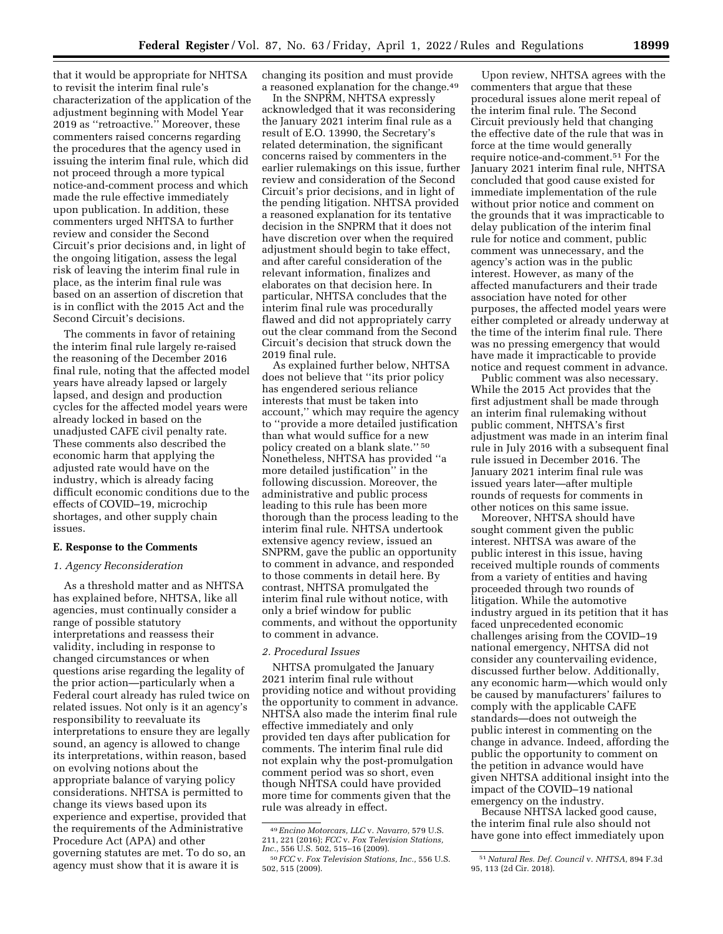that it would be appropriate for NHTSA to revisit the interim final rule's characterization of the application of the adjustment beginning with Model Year 2019 as ''retroactive.'' Moreover, these commenters raised concerns regarding the procedures that the agency used in issuing the interim final rule, which did not proceed through a more typical notice-and-comment process and which made the rule effective immediately upon publication. In addition, these commenters urged NHTSA to further review and consider the Second Circuit's prior decisions and, in light of the ongoing litigation, assess the legal risk of leaving the interim final rule in place, as the interim final rule was based on an assertion of discretion that is in conflict with the 2015 Act and the Second Circuit's decisions.

The comments in favor of retaining the interim final rule largely re-raised the reasoning of the December 2016 final rule, noting that the affected model years have already lapsed or largely lapsed, and design and production cycles for the affected model years were already locked in based on the unadjusted CAFE civil penalty rate. These comments also described the economic harm that applying the adjusted rate would have on the industry, which is already facing difficult economic conditions due to the effects of COVID–19, microchip shortages, and other supply chain issues.

## **E. Response to the Comments**

### *1. Agency Reconsideration*

As a threshold matter and as NHTSA has explained before, NHTSA, like all agencies, must continually consider a range of possible statutory interpretations and reassess their validity, including in response to changed circumstances or when questions arise regarding the legality of the prior action—particularly when a Federal court already has ruled twice on related issues. Not only is it an agency's responsibility to reevaluate its interpretations to ensure they are legally sound, an agency is allowed to change its interpretations, within reason, based on evolving notions about the appropriate balance of varying policy considerations. NHTSA is permitted to change its views based upon its experience and expertise, provided that the requirements of the Administrative Procedure Act (APA) and other governing statutes are met. To do so, an agency must show that it is aware it is

changing its position and must provide a reasoned explanation for the change.49

In the SNPRM, NHTSA expressly acknowledged that it was reconsidering the January 2021 interim final rule as a result of E.O. 13990, the Secretary's related determination, the significant concerns raised by commenters in the earlier rulemakings on this issue, further review and consideration of the Second Circuit's prior decisions, and in light of the pending litigation. NHTSA provided a reasoned explanation for its tentative decision in the SNPRM that it does not have discretion over when the required adjustment should begin to take effect, and after careful consideration of the relevant information, finalizes and elaborates on that decision here. In particular, NHTSA concludes that the interim final rule was procedurally flawed and did not appropriately carry out the clear command from the Second Circuit's decision that struck down the 2019 final rule.

As explained further below, NHTSA does not believe that ''its prior policy has engendered serious reliance interests that must be taken into account,'' which may require the agency to ''provide a more detailed justification than what would suffice for a new policy created on a blank slate.'' 50 Nonetheless, NHTSA has provided ''a more detailed justification'' in the following discussion. Moreover, the administrative and public process leading to this rule has been more thorough than the process leading to the interim final rule. NHTSA undertook extensive agency review, issued an SNPRM, gave the public an opportunity to comment in advance, and responded to those comments in detail here. By contrast, NHTSA promulgated the interim final rule without notice, with only a brief window for public comments, and without the opportunity to comment in advance.

### *2. Procedural Issues*

NHTSA promulgated the January 2021 interim final rule without providing notice and without providing the opportunity to comment in advance. NHTSA also made the interim final rule effective immediately and only provided ten days after publication for comments. The interim final rule did not explain why the post-promulgation comment period was so short, even though NHTSA could have provided more time for comments given that the rule was already in effect.

Upon review, NHTSA agrees with the commenters that argue that these procedural issues alone merit repeal of the interim final rule. The Second Circuit previously held that changing the effective date of the rule that was in force at the time would generally require notice-and-comment.51 For the January 2021 interim final rule, NHTSA concluded that good cause existed for immediate implementation of the rule without prior notice and comment on the grounds that it was impracticable to delay publication of the interim final rule for notice and comment, public comment was unnecessary, and the agency's action was in the public interest. However, as many of the affected manufacturers and their trade association have noted for other purposes, the affected model years were either completed or already underway at the time of the interim final rule. There was no pressing emergency that would have made it impracticable to provide notice and request comment in advance.

Public comment was also necessary. While the 2015 Act provides that the first adjustment shall be made through an interim final rulemaking without public comment, NHTSA's first adjustment was made in an interim final rule in July 2016 with a subsequent final rule issued in December 2016. The January 2021 interim final rule was issued years later—after multiple rounds of requests for comments in other notices on this same issue.

Moreover, NHTSA should have sought comment given the public interest. NHTSA was aware of the public interest in this issue, having received multiple rounds of comments from a variety of entities and having proceeded through two rounds of litigation. While the automotive industry argued in its petition that it has faced unprecedented economic challenges arising from the COVID–19 national emergency, NHTSA did not consider any countervailing evidence, discussed further below. Additionally, any economic harm—which would only be caused by manufacturers' failures to comply with the applicable CAFE standards—does not outweigh the public interest in commenting on the change in advance. Indeed, affording the public the opportunity to comment on the petition in advance would have given NHTSA additional insight into the impact of the COVID–19 national emergency on the industry.

Because NHTSA lacked good cause, the interim final rule also should not have gone into effect immediately upon

<sup>49</sup>*Encino Motorcars, LLC* v. *Navarro,* 579 U.S. 211, 221 (2016); *FCC* v. *Fox Television Stations,* 

*Inc.,* 556 U.S. 502, 515–16 (2009). 50 *FCC* v. *Fox Television Stations, Inc.,* 556 U.S. 502, 515 (2009).

<sup>51</sup>*Natural Res. Def. Council* v. *NHTSA,* 894 F.3d 95, 113 (2d Cir. 2018).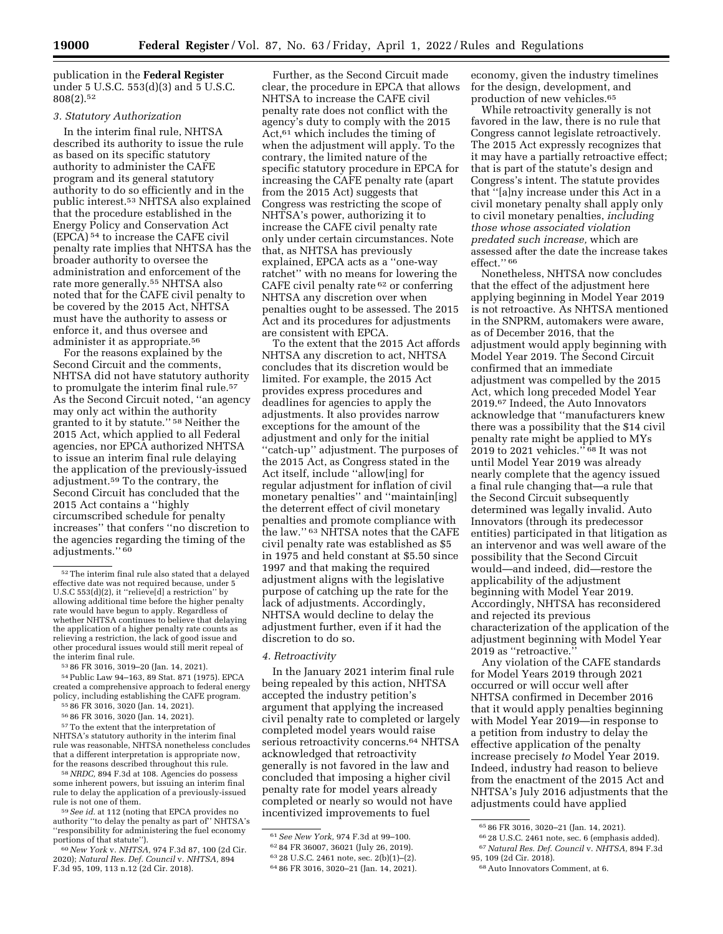publication in the **Federal Register**  under 5 U.S.C. 553(d)(3) and 5 U.S.C. 808(2).52

# *3. Statutory Authorization*

In the interim final rule, NHTSA described its authority to issue the rule as based on its specific statutory authority to administer the CAFE program and its general statutory authority to do so efficiently and in the public interest.53 NHTSA also explained that the procedure established in the Energy Policy and Conservation Act (EPCA) 54 to increase the CAFE civil penalty rate implies that NHTSA has the broader authority to oversee the administration and enforcement of the rate more generally.55 NHTSA also noted that for the CAFE civil penalty to be covered by the 2015 Act, NHTSA must have the authority to assess or enforce it, and thus oversee and administer it as appropriate.56

For the reasons explained by the Second Circuit and the comments, NHTSA did not have statutory authority to promulgate the interim final rule.<sup>57</sup> As the Second Circuit noted, ''an agency may only act within the authority granted to it by statute.'' 58 Neither the 2015 Act, which applied to all Federal agencies, nor EPCA authorized NHTSA to issue an interim final rule delaying the application of the previously-issued adjustment.59 To the contrary, the Second Circuit has concluded that the 2015 Act contains a ''highly circumscribed schedule for penalty increases'' that confers ''no discretion to the agencies regarding the timing of the adjustments."<sup>60</sup>

54 Public Law 94-163, 89 Stat. 871 (1975). EPCA created a comprehensive approach to federal energy policy, including establishing the CAFE program.<br><sup>55</sup> 86 FR 3016, 3020 (Jan. 14, 2021).<br><sup>56</sup> 86 FR 3016, 3020 (Jan. 14, 2021).<br><sup>57</sup> To the extent that the interpretation of

NHTSA's statutory authority in the interim final rule was reasonable, NHTSA nonetheless concludes that a different interpretation is appropriate now,

for the reasons described throughout this rule. 58*NRDC,* 894 F.3d at 108. Agencies do possess some inherent powers, but issuing an interim final rule to delay the application of a previously-issued

<sup>59</sup> See id. at 112 (noting that EPCA provides no authority ''to delay the penalty as part of'' NHTSA's ''responsibility for administering the fuel economy

portions of that statute''). 60*New York* v. *NHTSA,* 974 F.3d 87, 100 (2d Cir. 2020); *Natural Res. Def. Council* v. *NHTSA,* 894 F.3d 95, 109, 113 n.12 (2d Cir. 2018).

Further, as the Second Circuit made clear, the procedure in EPCA that allows NHTSA to increase the CAFE civil penalty rate does not conflict with the agency's duty to comply with the 2015 Act,61 which includes the timing of when the adjustment will apply. To the contrary, the limited nature of the specific statutory procedure in EPCA for increasing the CAFE penalty rate (apart from the 2015 Act) suggests that Congress was restricting the scope of NHTSA's power, authorizing it to increase the CAFE civil penalty rate only under certain circumstances. Note that, as NHTSA has previously explained, EPCA acts as a ''one-way ratchet'' with no means for lowering the CAFE civil penalty rate 62 or conferring NHTSA any discretion over when penalties ought to be assessed. The 2015 Act and its procedures for adjustments are consistent with EPCA.

To the extent that the 2015 Act affords NHTSA any discretion to act, NHTSA concludes that its discretion would be limited. For example, the 2015 Act provides express procedures and deadlines for agencies to apply the adjustments. It also provides narrow exceptions for the amount of the adjustment and only for the initial ''catch-up'' adjustment. The purposes of the 2015 Act, as Congress stated in the Act itself, include ''allow[ing] for regular adjustment for inflation of civil monetary penalties'' and ''maintain[ing] the deterrent effect of civil monetary penalties and promote compliance with the law.'' 63 NHTSA notes that the CAFE civil penalty rate was established as \$5 in 1975 and held constant at \$5.50 since 1997 and that making the required adjustment aligns with the legislative purpose of catching up the rate for the lack of adjustments. Accordingly, NHTSA would decline to delay the adjustment further, even if it had the discretion to do so.

#### *4. Retroactivity*

In the January 2021 interim final rule being repealed by this action, NHTSA accepted the industry petition's argument that applying the increased civil penalty rate to completed or largely completed model years would raise serious retroactivity concerns.<sup>64</sup> NHTSA acknowledged that retroactivity generally is not favored in the law and concluded that imposing a higher civil penalty rate for model years already completed or nearly so would not have incentivized improvements to fuel

economy, given the industry timelines for the design, development, and production of new vehicles.65

While retroactivity generally is not favored in the law, there is no rule that Congress cannot legislate retroactively. The 2015 Act expressly recognizes that it may have a partially retroactive effect; that is part of the statute's design and Congress's intent. The statute provides that ''[a]ny increase under this Act in a civil monetary penalty shall apply only to civil monetary penalties, *including those whose associated violation predated such increase,* which are assessed after the date the increase takes effect<sup>"66</sup>

Nonetheless, NHTSA now concludes that the effect of the adjustment here applying beginning in Model Year 2019 is not retroactive. As NHTSA mentioned in the SNPRM, automakers were aware, as of December 2016, that the adjustment would apply beginning with Model Year 2019. The Second Circuit confirmed that an immediate adjustment was compelled by the 2015 Act, which long preceded Model Year 2019.67 Indeed, the Auto Innovators acknowledge that ''manufacturers knew there was a possibility that the \$14 civil penalty rate might be applied to MYs 2019 to 2021 vehicles.'' 68 It was not until Model Year 2019 was already nearly complete that the agency issued a final rule changing that—a rule that the Second Circuit subsequently determined was legally invalid. Auto Innovators (through its predecessor entities) participated in that litigation as an intervenor and was well aware of the possibility that the Second Circuit would—and indeed, did—restore the applicability of the adjustment beginning with Model Year 2019. Accordingly, NHTSA has reconsidered and rejected its previous characterization of the application of the adjustment beginning with Model Year 2019 as "retroactive.

Any violation of the CAFE standards for Model Years 2019 through 2021 occurred or will occur well after NHTSA confirmed in December 2016 that it would apply penalties beginning with Model Year 2019—in response to a petition from industry to delay the effective application of the penalty increase precisely *to* Model Year 2019. Indeed, industry had reason to believe from the enactment of the 2015 Act and NHTSA's July 2016 adjustments that the adjustments could have applied

67*Natural Res. Def. Council* v. *NHTSA,* 894 F.3d

<sup>52</sup>The interim final rule also stated that a delayed effective date was not required because, under 5 U.S.C 553(d)(2), it ''relieve[d] a restriction'' by allowing additional time before the higher penalty rate would have begun to apply. Regardless of whether NHTSA continues to believe that delaying the application of a higher penalty rate counts as relieving a restriction, the lack of good issue and other procedural issues would still merit repeal of the interim final rule.<br><sup>53</sup> 86 FR 3016, 3019–20 (Jan. 14, 2021).

<sup>61</sup>*See New York,* 974 F.3d at 99–100.

<sup>62</sup> 84 FR 36007, 36021 (July 26, 2019). 63 28 U.S.C. 2461 note, sec. 2(b)(1)–(2).

<sup>64</sup> 86 FR 3016, 3020–21 (Jan. 14, 2021).

<sup>65</sup> 86 FR 3016, 3020–21 (Jan. 14, 2021).

<sup>66</sup> 28 U.S.C. 2461 note, sec. 6 (emphasis added).

<sup>95, 109 (2</sup>d Cir. 2018).

<sup>68</sup>Auto Innovators Comment, at 6.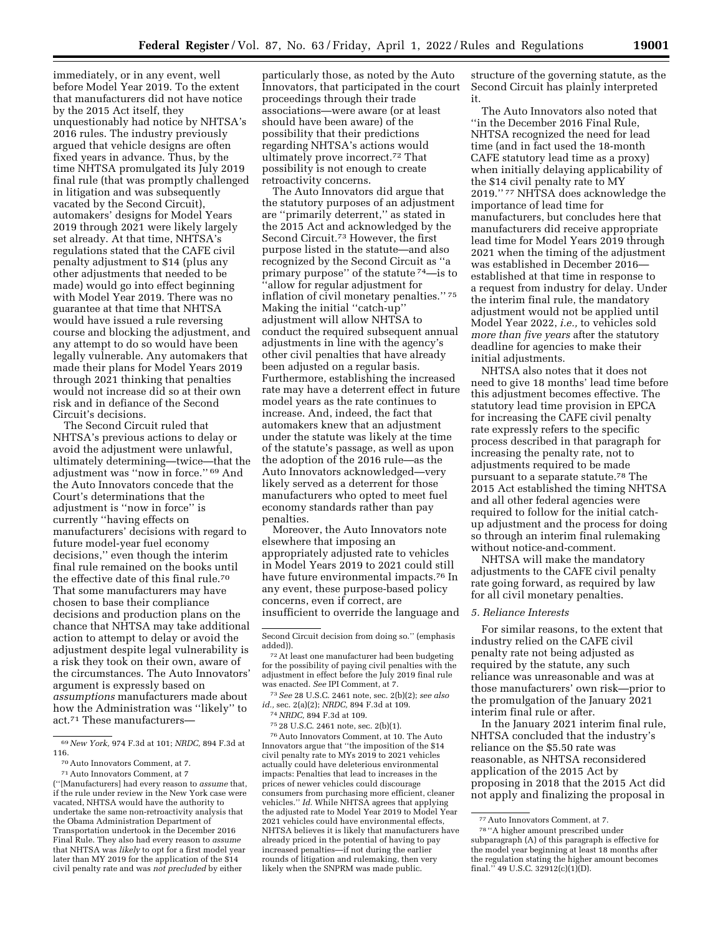structure of the governing statute, as the

immediately, or in any event, well before Model Year 2019. To the extent that manufacturers did not have notice by the 2015 Act itself, they unquestionably had notice by NHTSA's 2016 rules. The industry previously argued that vehicle designs are often fixed years in advance. Thus, by the time NHTSA promulgated its July 2019 final rule (that was promptly challenged in litigation and was subsequently vacated by the Second Circuit), automakers' designs for Model Years 2019 through 2021 were likely largely set already. At that time, NHTSA's regulations stated that the CAFE civil penalty adjustment to \$14 (plus any other adjustments that needed to be made) would go into effect beginning with Model Year 2019. There was no guarantee at that time that NHTSA would have issued a rule reversing course and blocking the adjustment, and any attempt to do so would have been legally vulnerable. Any automakers that made their plans for Model Years 2019 through 2021 thinking that penalties would not increase did so at their own risk and in defiance of the Second Circuit's decisions.

The Second Circuit ruled that NHTSA's previous actions to delay or avoid the adjustment were unlawful, ultimately determining—twice—that the adjustment was ''now in force.'' 69 And the Auto Innovators concede that the Court's determinations that the adjustment is ''now in force'' is currently ''having effects on manufacturers' decisions with regard to future model-year fuel economy decisions,'' even though the interim final rule remained on the books until the effective date of this final rule.70 That some manufacturers may have chosen to base their compliance decisions and production plans on the chance that NHTSA may take additional action to attempt to delay or avoid the adjustment despite legal vulnerability is a risk they took on their own, aware of the circumstances. The Auto Innovators' argument is expressly based on *assumptions* manufacturers made about how the Administration was ''likely'' to act.<sup>71</sup> These manufacturers-

later than MY 2019 for the application of the \$14 civil penalty rate and was *not precluded* by either

particularly those, as noted by the Auto Innovators, that participated in the court proceedings through their trade associations—were aware (or at least should have been aware) of the possibility that their predictions regarding NHTSA's actions would ultimately prove incorrect.72 That possibility is not enough to create retroactivity concerns.

The Auto Innovators did argue that the statutory purposes of an adjustment are ''primarily deterrent,'' as stated in the 2015 Act and acknowledged by the Second Circuit.73 However, the first purpose listed in the statute—and also recognized by the Second Circuit as ''a primary purpose'' of the statute 74—is to 'allow for regular adjustment for inflation of civil monetary penalties.'' 75 Making the initial ''catch-up'' adjustment will allow NHTSA to conduct the required subsequent annual adjustments in line with the agency's other civil penalties that have already been adjusted on a regular basis. Furthermore, establishing the increased rate may have a deterrent effect in future model years as the rate continues to increase. And, indeed, the fact that automakers knew that an adjustment under the statute was likely at the time of the statute's passage, as well as upon the adoption of the 2016 rule—as the Auto Innovators acknowledged—very likely served as a deterrent for those manufacturers who opted to meet fuel economy standards rather than pay penalties.

Moreover, the Auto Innovators note elsewhere that imposing an appropriately adjusted rate to vehicles in Model Years 2019 to 2021 could still have future environmental impacts.76 In any event, these purpose-based policy concerns, even if correct, are insufficient to override the language and

73*See* 28 U.S.C. 2461 note, sec. 2(b)(2); *see also id.,* sec. 2(a)(2); *NRDC,* 894 F.3d at 109.

75 28 U.S.C. 2461 note, sec. 2(b)(1).

76Auto Innovators Comment, at 10. The Auto Innovators argue that ''the imposition of the \$14 civil penalty rate to MYs 2019 to 2021 vehicles actually could have deleterious environmental impacts: Penalties that lead to increases in the prices of newer vehicles could discourage consumers from purchasing more efficient, cleaner vehicles.'' *Id.* While NHTSA agrees that applying the adjusted rate to Model Year 2019 to Model Year 2021 vehicles could have environmental effects, NHTSA believes it is likely that manufacturers have already priced in the potential of having to pay increased penalties—if not during the earlier rounds of litigation and rulemaking, then very likely when the SNPRM was made public.

The Auto Innovators also noted that ''in the December 2016 Final Rule, NHTSA recognized the need for lead time (and in fact used the 18-month CAFE statutory lead time as a proxy) when initially delaying applicability of the \$14 civil penalty rate to MY 2019.'' 77 NHTSA does acknowledge the importance of lead time for manufacturers, but concludes here that manufacturers did receive appropriate lead time for Model Years 2019 through 2021 when the timing of the adjustment was established in December 2016 established at that time in response to a request from industry for delay. Under the interim final rule, the mandatory adjustment would not be applied until Model Year 2022, *i.e.,* to vehicles sold *more than five years* after the statutory deadline for agencies to make their initial adjustments.

Second Circuit has plainly interpreted

it.

NHTSA also notes that it does not need to give 18 months' lead time before this adjustment becomes effective. The statutory lead time provision in EPCA for increasing the CAFE civil penalty rate expressly refers to the specific process described in that paragraph for increasing the penalty rate, not to adjustments required to be made pursuant to a separate statute.78 The 2015 Act established the timing NHTSA and all other federal agencies were required to follow for the initial catchup adjustment and the process for doing so through an interim final rulemaking without notice-and-comment.

NHTSA will make the mandatory adjustments to the CAFE civil penalty rate going forward, as required by law for all civil monetary penalties.

### *5. Reliance Interests*

For similar reasons, to the extent that industry relied on the CAFE civil penalty rate not being adjusted as required by the statute, any such reliance was unreasonable and was at those manufacturers' own risk—prior to the promulgation of the January 2021 interim final rule or after.

In the January 2021 interim final rule, NHTSA concluded that the industry's reliance on the \$5.50 rate was reasonable, as NHTSA reconsidered application of the 2015 Act by proposing in 2018 that the 2015 Act did not apply and finalizing the proposal in

<sup>69</sup>*New York,* 974 F.3d at 101; *NRDC,* 894 F.3d at 116.

<sup>70</sup>Auto Innovators Comment, at 7.

<sup>71</sup>Auto Innovators Comment, at 7 (''[Manufacturers] had every reason to *assume* that, if the rule under review in the New York case were vacated, NHTSA would have the authority to undertake the same non-retroactivity analysis that the Obama Administration Department of Transportation undertook in the December 2016 Final Rule. They also had every reason to *assume*  that NHTSA was *likely* to opt for a first model year

Second Circuit decision from doing so.'' (emphasis added)).

<sup>72</sup>At least one manufacturer had been budgeting for the possibility of paying civil penalties with the adjustment in effect before the July 2019 final rule was enacted. *See* IPI Comment, at 7.

<sup>74</sup>*NRDC,* 894 F.3d at 109.

<sup>77</sup>Auto Innovators Comment, at 7.

<sup>78</sup> ''A higher amount prescribed under subparagraph (A) of this paragraph is effective for the model year beginning at least 18 months after the regulation stating the higher amount becomes final.'' 49 U.S.C. 32912(c)(1)(D).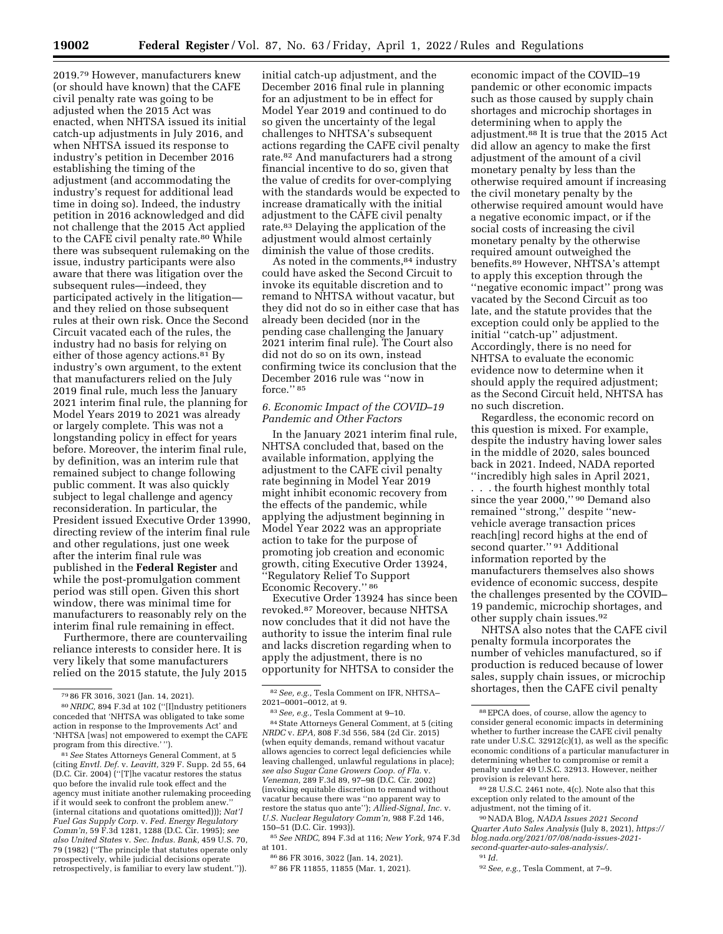2019.79 However, manufacturers knew (or should have known) that the CAFE civil penalty rate was going to be adjusted when the 2015 Act was enacted, when NHTSA issued its initial catch-up adjustments in July 2016, and when NHTSA issued its response to industry's petition in December 2016 establishing the timing of the adjustment (and accommodating the industry's request for additional lead time in doing so). Indeed, the industry petition in 2016 acknowledged and did not challenge that the 2015 Act applied to the CAFE civil penalty rate.<sup>80</sup> While there was subsequent rulemaking on the issue, industry participants were also aware that there was litigation over the subsequent rules—indeed, they participated actively in the litigation and they relied on those subsequent rules at their own risk. Once the Second Circuit vacated each of the rules, the industry had no basis for relying on either of those agency actions.<sup>81</sup> By industry's own argument, to the extent that manufacturers relied on the July 2019 final rule, much less the January 2021 interim final rule, the planning for Model Years 2019 to 2021 was already or largely complete. This was not a longstanding policy in effect for years before. Moreover, the interim final rule, by definition, was an interim rule that remained subject to change following public comment. It was also quickly subject to legal challenge and agency reconsideration. In particular, the President issued Executive Order 13990, directing review of the interim final rule and other regulations, just one week after the interim final rule was published in the **Federal Register** and while the post-promulgation comment period was still open. Given this short window, there was minimal time for manufacturers to reasonably rely on the interim final rule remaining in effect.

Furthermore, there are countervailing reliance interests to consider here. It is very likely that some manufacturers relied on the 2015 statute, the July 2015

81*See* States Attorneys General Comment, at 5 (citing *Envtl. Def.* v. *Leavitt,* 329 F. Supp. 2d 55, 64 (D.C. Cir. 2004) (''[T]he vacatur restores the status quo before the invalid rule took effect and the agency must initiate another rulemaking proceeding if it would seek to confront the problem anew. (internal citations and quotations omitted))); *Nat'l Fuel Gas Supply Corp.* v. *Fed. Energy Regulatory Comm'n,* 59 F.3d 1281, 1288 (D.C. Cir. 1995); *see also United States* v. *Sec. Indus. Bank,* 459 U.S. 70, 79 (1982) (''The principle that statutes operate only prospectively, while judicial decisions operate retrospectively, is familiar to every law student.'')).

initial catch-up adjustment, and the December 2016 final rule in planning for an adjustment to be in effect for Model Year 2019 and continued to do so given the uncertainty of the legal challenges to NHTSA's subsequent actions regarding the CAFE civil penalty rate.82 And manufacturers had a strong financial incentive to do so, given that the value of credits for over-complying with the standards would be expected to increase dramatically with the initial adjustment to the CAFE civil penalty rate.83 Delaying the application of the adjustment would almost certainly diminish the value of those credits.

As noted in the comments, 84 industry could have asked the Second Circuit to invoke its equitable discretion and to remand to NHTSA without vacatur, but they did not do so in either case that has already been decided (nor in the pending case challenging the January 2021 interim final rule). The Court also did not do so on its own, instead confirming twice its conclusion that the December 2016 rule was ''now in force."<sup>85</sup>

## *6. Economic Impact of the COVID–19 Pandemic and Other Factors*

In the January 2021 interim final rule, NHTSA concluded that, based on the available information, applying the adjustment to the CAFE civil penalty rate beginning in Model Year 2019 might inhibit economic recovery from the effects of the pandemic, while applying the adjustment beginning in Model Year 2022 was an appropriate action to take for the purpose of promoting job creation and economic growth, citing Executive Order 13924, ''Regulatory Relief To Support Economic Recovery.'' 86

Executive Order 13924 has since been revoked.87 Moreover, because NHTSA now concludes that it did not have the authority to issue the interim final rule and lacks discretion regarding when to apply the adjustment, there is no opportunity for NHTSA to consider the

84State Attorneys General Comment, at 5 (citing *NRDC* v. *EPA,* 808 F.3d 556, 584 (2d Cir. 2015) (when equity demands, remand without vacatur allows agencies to correct legal deficiencies while leaving challenged, unlawful regulations in place); *see also Sugar Cane Growers Coop. of Fla.* v. *Veneman,* 289 F.3d 89, 97–98 (D.C. Cir. 2002) (invoking equitable discretion to remand without vacatur because there was ''no apparent way to restore the status quo ante''); *Allied-Signal, Inc.* v. *U.S. Nuclear Regulatory Comm'n,* 988 F.2d 146, 150–51 (D.C. Cir. 1993)).

85*See NRDC,* 894 F.3d at 116; *New York,* 974 F.3d at 101.

86 86 FR 3016, 3022 (Jan. 14, 2021).

87 86 FR 11855, 11855 (Mar. 1, 2021).

economic impact of the COVID–19 pandemic or other economic impacts such as those caused by supply chain shortages and microchip shortages in determining when to apply the adjustment.88 It is true that the 2015 Act did allow an agency to make the first adjustment of the amount of a civil monetary penalty by less than the otherwise required amount if increasing the civil monetary penalty by the otherwise required amount would have a negative economic impact, or if the social costs of increasing the civil monetary penalty by the otherwise required amount outweighed the benefits.89 However, NHTSA's attempt to apply this exception through the ''negative economic impact'' prong was vacated by the Second Circuit as too late, and the statute provides that the exception could only be applied to the initial ''catch-up'' adjustment. Accordingly, there is no need for NHTSA to evaluate the economic evidence now to determine when it should apply the required adjustment; as the Second Circuit held, NHTSA has no such discretion.

Regardless, the economic record on this question is mixed. For example, despite the industry having lower sales in the middle of 2020, sales bounced back in 2021. Indeed, NADA reported ''incredibly high sales in April 2021,

. . . the fourth highest monthly total since the year 2000," <sup>90</sup> Demand also remained ''strong,'' despite ''newvehicle average transaction prices reach[ing] record highs at the end of second quarter." <sup>91</sup> Additional information reported by the manufacturers themselves also shows evidence of economic success, despite the challenges presented by the COVID– 19 pandemic, microchip shortages, and other supply chain issues.92

NHTSA also notes that the CAFE civil penalty formula incorporates the number of vehicles manufactured, so if production is reduced because of lower sales, supply chain issues, or microchip shortages, then the CAFE civil penalty

89 28 U.S.C. 2461 note, 4(c). Note also that this exception only related to the amount of the adjustment, not the timing of it.

90NADA Blog, *NADA Issues 2021 Second Quarter Auto Sales Analysis* (July 8, 2021), *[https://](https://blog.nada.org/2021/07/08/nada-issues-2021-second-quarter-auto-sales-analysis/) [blog.nada.org/2021/07/08/nada-issues-2021](https://blog.nada.org/2021/07/08/nada-issues-2021-second-quarter-auto-sales-analysis/) [second-quarter-auto-sales-analysis/.](https://blog.nada.org/2021/07/08/nada-issues-2021-second-quarter-auto-sales-analysis/)* 

91 *Id.* 

<sup>79</sup> 86 FR 3016, 3021 (Jan. 14, 2021).

<sup>80</sup>*NRDC,* 894 F.3d at 102 (''[I]ndustry petitioners conceded that 'NHTSA was obligated to take some action in response to the Improvements Act' and 'NHTSA [was] not empowered to exempt the CAFE program from this directive.' '').

<sup>82</sup>*See, e.g.,* Tesla Comment on IFR, NHTSA– 2021–0001–0012, at 9.

<sup>83</sup>*See, e.g.,* Tesla Comment at 9–10.

<sup>88</sup>EPCA does, of course, allow the agency to consider general economic impacts in determining whether to further increase the CAFE civil penalty rate under U.S.C. 32912(c)(1), as well as the specific economic conditions of a particular manufacturer in determining whether to compromise or remit a penalty under 49 U.S.C. 32913. However, neither provision is relevant here.

<sup>92</sup>*See, e.g.,* Tesla Comment, at 7–9.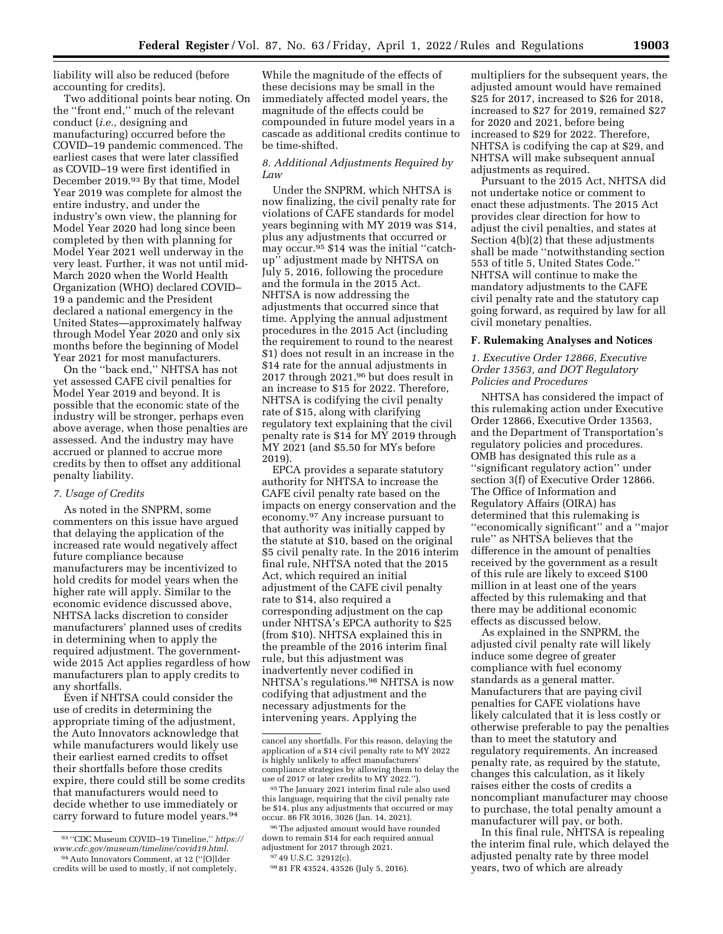liability will also be reduced (before accounting for credits).

Two additional points bear noting. On the ''front end,'' much of the relevant conduct (*i.e.,* designing and manufacturing) occurred before the COVID–19 pandemic commenced. The earliest cases that were later classified as COVID–19 were first identified in December 2019.93 By that time, Model Year 2019 was complete for almost the entire industry, and under the industry's own view, the planning for Model Year 2020 had long since been completed by then with planning for Model Year 2021 well underway in the very least. Further, it was not until mid-March 2020 when the World Health Organization (WHO) declared COVID– 19 a pandemic and the President declared a national emergency in the United States—approximately halfway through Model Year 2020 and only six months before the beginning of Model Year 2021 for most manufacturers.

On the ''back end,'' NHTSA has not yet assessed CAFE civil penalties for Model Year 2019 and beyond. It is possible that the economic state of the industry will be stronger, perhaps even above average, when those penalties are assessed. And the industry may have accrued or planned to accrue more credits by then to offset any additional penalty liability.

### *7. Usage of Credits*

As noted in the SNPRM, some commenters on this issue have argued that delaying the application of the increased rate would negatively affect future compliance because manufacturers may be incentivized to hold credits for model years when the higher rate will apply. Similar to the economic evidence discussed above, NHTSA lacks discretion to consider manufacturers' planned uses of credits in determining when to apply the required adjustment. The governmentwide 2015 Act applies regardless of how manufacturers plan to apply credits to any shortfalls.

Even if NHTSA could consider the use of credits in determining the appropriate timing of the adjustment, the Auto Innovators acknowledge that while manufacturers would likely use their earliest earned credits to offset their shortfalls before those credits expire, there could still be some credits that manufacturers would need to decide whether to use immediately or carry forward to future model years.94

While the magnitude of the effects of these decisions may be small in the immediately affected model years, the magnitude of the effects could be compounded in future model years in a cascade as additional credits continue to be time-shifted.

### *8. Additional Adjustments Required by*   $Law$

Under the SNPRM, which NHTSA is now finalizing, the civil penalty rate for violations of CAFE standards for model years beginning with MY 2019 was \$14, plus any adjustments that occurred or may occur.95 \$14 was the initial ''catchup'' adjustment made by NHTSA on July 5, 2016, following the procedure and the formula in the 2015 Act. NHTSA is now addressing the adjustments that occurred since that time. Applying the annual adjustment procedures in the 2015 Act (including the requirement to round to the nearest \$1) does not result in an increase in the \$14 rate for the annual adjustments in 2017 through 2021,96 but does result in an increase to \$15 for 2022. Therefore, NHTSA is codifying the civil penalty rate of \$15, along with clarifying regulatory text explaining that the civil penalty rate is \$14 for MY 2019 through MY 2021 (and \$5.50 for MYs before 2019).

EPCA provides a separate statutory authority for NHTSA to increase the CAFE civil penalty rate based on the impacts on energy conservation and the economy.97 Any increase pursuant to that authority was initially capped by the statute at \$10, based on the original \$5 civil penalty rate. In the 2016 interim final rule, NHTSA noted that the 2015 Act, which required an initial adjustment of the CAFE civil penalty rate to \$14, also required a corresponding adjustment on the cap under NHTSA's EPCA authority to \$25 (from \$10). NHTSA explained this in the preamble of the 2016 interim final rule, but this adjustment was inadvertently never codified in NHTSA's regulations.98 NHTSA is now codifying that adjustment and the necessary adjustments for the intervening years. Applying the

multipliers for the subsequent years, the adjusted amount would have remained \$25 for 2017, increased to \$26 for 2018, increased to \$27 for 2019, remained \$27 for 2020 and 2021, before being increased to \$29 for 2022. Therefore, NHTSA is codifying the cap at \$29, and NHTSA will make subsequent annual adjustments as required.

Pursuant to the 2015 Act, NHTSA did not undertake notice or comment to enact these adjustments. The 2015 Act provides clear direction for how to adjust the civil penalties, and states at Section 4(b)(2) that these adjustments shall be made ''notwithstanding section 553 of title 5, United States Code.'' NHTSA will continue to make the mandatory adjustments to the CAFE civil penalty rate and the statutory cap going forward, as required by law for all civil monetary penalties.

## **F. Rulemaking Analyses and Notices**

*1. Executive Order 12866, Executive Order 13563, and DOT Regulatory Policies and Procedures* 

NHTSA has considered the impact of this rulemaking action under Executive Order 12866, Executive Order 13563, and the Department of Transportation's regulatory policies and procedures. OMB has designated this rule as a ''significant regulatory action'' under section 3(f) of Executive Order 12866. The Office of Information and Regulatory Affairs (OIRA) has determined that this rulemaking is ''economically significant'' and a ''major rule'' as NHTSA believes that the difference in the amount of penalties received by the government as a result of this rule are likely to exceed \$100 million in at least one of the years affected by this rulemaking and that there may be additional economic effects as discussed below.

As explained in the SNPRM, the adjusted civil penalty rate will likely induce some degree of greater compliance with fuel economy standards as a general matter. Manufacturers that are paying civil penalties for CAFE violations have likely calculated that it is less costly or otherwise preferable to pay the penalties than to meet the statutory and regulatory requirements. An increased penalty rate, as required by the statute, changes this calculation, as it likely raises either the costs of credits a noncompliant manufacturer may choose to purchase, the total penalty amount a manufacturer will pay, or both.

In this final rule, NHTSA is repealing the interim final rule, which delayed the adjusted penalty rate by three model years, two of which are already

<sup>93</sup> ''CDC Museum COVID–19 Timeline,'' *[https://](https://www.cdc.gov/museum/timeline/covid19.html) [www.cdc.gov/museum/timeline/covid19.html.](https://www.cdc.gov/museum/timeline/covid19.html)*  94Auto Innovators Comment, at 12 (''[O]lder

credits will be used to mostly, if not completely,

cancel any shortfalls. For this reason, delaying the application of a \$14 civil penalty rate to MY 2022 is highly unlikely to affect manufacturers' compliance strategies by allowing them to delay the use of 2017 or later credits to MY 2022.'').

<sup>95</sup>The January 2021 interim final rule also used this language, requiring that the civil penalty rate be \$14, plus any adjustments that occurred or may occur. 86 FR 3016, 3026 (Jan. 14, 2021).

<sup>96</sup>The adjusted amount would have rounded down to remain \$14 for each required annual adjustment for 2017 through 2021. 97 49 U.S.C. 32912(c).

<sup>98</sup> 81 FR 43524, 43526 (July 5, 2016).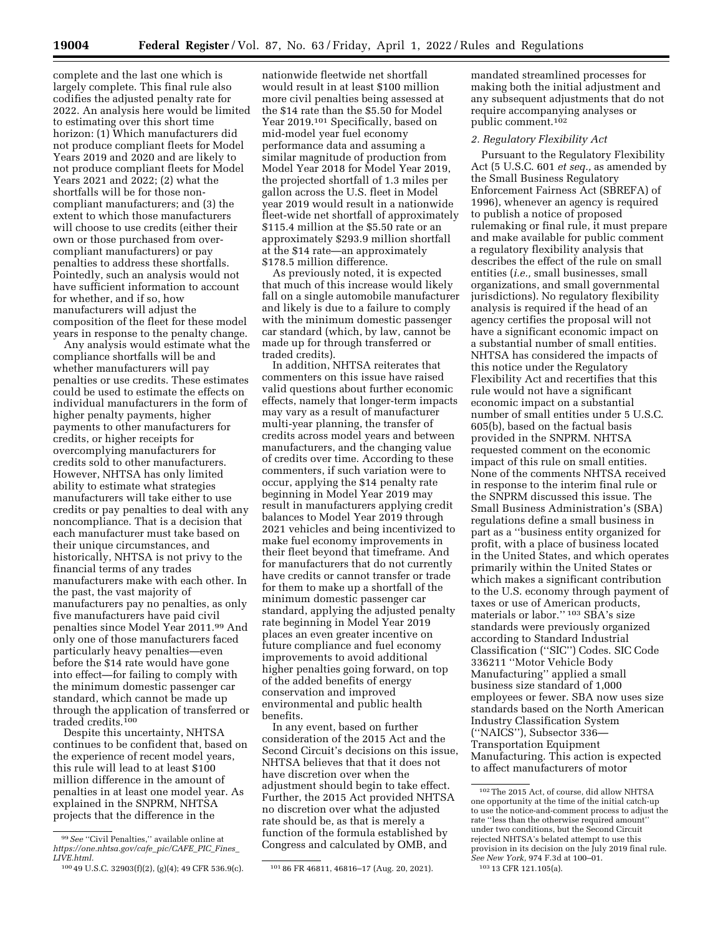complete and the last one which is largely complete. This final rule also codifies the adjusted penalty rate for 2022. An analysis here would be limited to estimating over this short time horizon: (1) Which manufacturers did not produce compliant fleets for Model Years 2019 and 2020 and are likely to not produce compliant fleets for Model Years 2021 and 2022; (2) what the shortfalls will be for those noncompliant manufacturers; and (3) the extent to which those manufacturers will choose to use credits (either their own or those purchased from overcompliant manufacturers) or pay penalties to address these shortfalls. Pointedly, such an analysis would not have sufficient information to account for whether, and if so, how manufacturers will adjust the composition of the fleet for these model years in response to the penalty change.

Any analysis would estimate what the compliance shortfalls will be and whether manufacturers will pay penalties or use credits. These estimates could be used to estimate the effects on individual manufacturers in the form of higher penalty payments, higher payments to other manufacturers for credits, or higher receipts for overcomplying manufacturers for credits sold to other manufacturers. However, NHTSA has only limited ability to estimate what strategies manufacturers will take either to use credits or pay penalties to deal with any noncompliance. That is a decision that each manufacturer must take based on their unique circumstances, and historically, NHTSA is not privy to the financial terms of any trades manufacturers make with each other. In the past, the vast majority of manufacturers pay no penalties, as only five manufacturers have paid civil penalties since Model Year 2011.99 And only one of those manufacturers faced particularly heavy penalties—even before the \$14 rate would have gone into effect—for failing to comply with the minimum domestic passenger car standard, which cannot be made up through the application of transferred or traded credits.100

Despite this uncertainty, NHTSA continues to be confident that, based on the experience of recent model years, this rule will lead to at least \$100 million difference in the amount of penalties in at least one model year. As explained in the SNPRM, NHTSA projects that the difference in the

nationwide fleetwide net shortfall would result in at least \$100 million more civil penalties being assessed at the \$14 rate than the \$5.50 for Model Year 2019.<sup>101</sup> Specifically, based on mid-model year fuel economy performance data and assuming a similar magnitude of production from Model Year 2018 for Model Year 2019, the projected shortfall of 1.3 miles per gallon across the U.S. fleet in Model year 2019 would result in a nationwide fleet-wide net shortfall of approximately \$115.4 million at the \$5.50 rate or an approximately \$293.9 million shortfall at the \$14 rate—an approximately \$178.5 million difference.

As previously noted, it is expected that much of this increase would likely fall on a single automobile manufacturer and likely is due to a failure to comply with the minimum domestic passenger car standard (which, by law, cannot be made up for through transferred or traded credits).

In addition, NHTSA reiterates that commenters on this issue have raised valid questions about further economic effects, namely that longer-term impacts may vary as a result of manufacturer multi-year planning, the transfer of credits across model years and between manufacturers, and the changing value of credits over time. According to these commenters, if such variation were to occur, applying the \$14 penalty rate beginning in Model Year 2019 may result in manufacturers applying credit balances to Model Year 2019 through 2021 vehicles and being incentivized to make fuel economy improvements in their fleet beyond that timeframe. And for manufacturers that do not currently have credits or cannot transfer or trade for them to make up a shortfall of the minimum domestic passenger car standard, applying the adjusted penalty rate beginning in Model Year 2019 places an even greater incentive on future compliance and fuel economy improvements to avoid additional higher penalties going forward, on top of the added benefits of energy conservation and improved environmental and public health benefits.

In any event, based on further consideration of the 2015 Act and the Second Circuit's decisions on this issue, NHTSA believes that that it does not have discretion over when the adjustment should begin to take effect. Further, the 2015 Act provided NHTSA no discretion over what the adjusted rate should be, as that is merely a function of the formula established by Congress and calculated by OMB, and

mandated streamlined processes for making both the initial adjustment and any subsequent adjustments that do not require accompanying analyses or public comment.102

#### *2. Regulatory Flexibility Act*

Pursuant to the Regulatory Flexibility Act (5 U.S.C. 601 *et seq.,* as amended by the Small Business Regulatory Enforcement Fairness Act (SBREFA) of 1996), whenever an agency is required to publish a notice of proposed rulemaking or final rule, it must prepare and make available for public comment a regulatory flexibility analysis that describes the effect of the rule on small entities (*i.e.,* small businesses, small organizations, and small governmental jurisdictions). No regulatory flexibility analysis is required if the head of an agency certifies the proposal will not have a significant economic impact on a substantial number of small entities. NHTSA has considered the impacts of this notice under the Regulatory Flexibility Act and recertifies that this rule would not have a significant economic impact on a substantial number of small entities under 5 U.S.C. 605(b), based on the factual basis provided in the SNPRM. NHTSA requested comment on the economic impact of this rule on small entities. None of the comments NHTSA received in response to the interim final rule or the SNPRM discussed this issue. The Small Business Administration's (SBA) regulations define a small business in part as a ''business entity organized for profit, with a place of business located in the United States, and which operates primarily within the United States or which makes a significant contribution to the U.S. economy through payment of taxes or use of American products, materials or labor.'' 103 SBA's size standards were previously organized according to Standard Industrial Classification (''SIC'') Codes. SIC Code 336211 ''Motor Vehicle Body Manufacturing'' applied a small business size standard of 1,000 employees or fewer. SBA now uses size standards based on the North American Industry Classification System (''NAICS''), Subsector 336— Transportation Equipment Manufacturing. This action is expected to affect manufacturers of motor

<sup>&</sup>lt;sup>99</sup> See "Civil Penalties," available online at *[https://one.nhtsa.gov/cafe](https://one.nhtsa.gov/cafe_pic/CAFE_PIC_Fines_LIVE.html)*\_*pic/CAFE*\_*PIC*\_*Fines*\_ *[LIVE.html.](https://one.nhtsa.gov/cafe_pic/CAFE_PIC_Fines_LIVE.html)* 

<sup>100</sup> 49 U.S.C. 32903(f)(2), (g)(4); 49 CFR 536.9(c). 101 86 FR 46811, 46816–17 (Aug. 20, 2021).

<sup>102</sup>The 2015 Act, of course, did allow NHTSA one opportunity at the time of the initial catch-up to use the notice-and-comment process to adjust the rate ''less than the otherwise required amount'' under two conditions, but the Second Circuit rejected NHTSA's belated attempt to use this provision in its decision on the July 2019 final rule. *See New York,* 974 F.3d at 100–01. 103 13 CFR 121.105(a).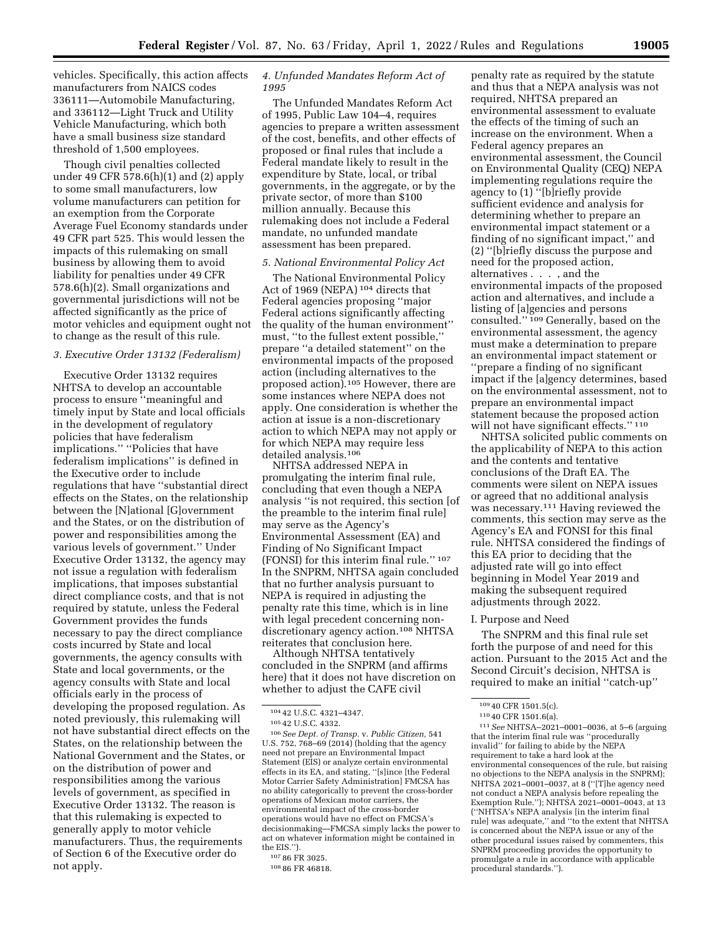vehicles. Specifically, this action affects manufacturers from NAICS codes 336111—Automobile Manufacturing, and 336112—Light Truck and Utility Vehicle Manufacturing, which both have a small business size standard threshold of 1,500 employees.

Though civil penalties collected under 49 CFR 578.6(h)(1) and (2) apply to some small manufacturers, low volume manufacturers can petition for an exemption from the Corporate Average Fuel Economy standards under 49 CFR part 525. This would lessen the impacts of this rulemaking on small business by allowing them to avoid liability for penalties under 49 CFR 578.6(h)(2). Small organizations and governmental jurisdictions will not be affected significantly as the price of motor vehicles and equipment ought not to change as the result of this rule.

### *3. Executive Order 13132 (Federalism)*

Executive Order 13132 requires NHTSA to develop an accountable process to ensure ''meaningful and timely input by State and local officials in the development of regulatory policies that have federalism implications.'' ''Policies that have federalism implications'' is defined in the Executive order to include regulations that have ''substantial direct effects on the States, on the relationship between the [N]ational [G]overnment and the States, or on the distribution of power and responsibilities among the various levels of government.'' Under Executive Order 13132, the agency may not issue a regulation with federalism implications, that imposes substantial direct compliance costs, and that is not required by statute, unless the Federal Government provides the funds necessary to pay the direct compliance costs incurred by State and local governments, the agency consults with State and local governments, or the agency consults with State and local officials early in the process of developing the proposed regulation. As noted previously, this rulemaking will not have substantial direct effects on the States, on the relationship between the National Government and the States, or on the distribution of power and responsibilities among the various levels of government, as specified in Executive Order 13132. The reason is that this rulemaking is expected to generally apply to motor vehicle manufacturers. Thus, the requirements of Section 6 of the Executive order do not apply.

### *4. Unfunded Mandates Reform Act of 1995*

The Unfunded Mandates Reform Act of 1995, Public Law 104–4, requires agencies to prepare a written assessment of the cost, benefits, and other effects of proposed or final rules that include a Federal mandate likely to result in the expenditure by State, local, or tribal governments, in the aggregate, or by the private sector, of more than \$100 million annually. Because this rulemaking does not include a Federal mandate, no unfunded mandate assessment has been prepared.

## *5. National Environmental Policy Act*

The National Environmental Policy Act of 1969 (NEPA) <sup>104</sup> directs that Federal agencies proposing ''major Federal actions significantly affecting the quality of the human environment'' must, ''to the fullest extent possible,'' prepare ''a detailed statement'' on the environmental impacts of the proposed action (including alternatives to the proposed action).105 However, there are some instances where NEPA does not apply. One consideration is whether the action at issue is a non-discretionary action to which NEPA may not apply or for which NEPA may require less detailed analysis.106

NHTSA addressed NEPA in promulgating the interim final rule, concluding that even though a NEPA analysis ''is not required, this section [of the preamble to the interim final rule] may serve as the Agency's Environmental Assessment (EA) and Finding of No Significant Impact (FONSI) for this interim final rule." 107 In the SNPRM, NHTSA again concluded that no further analysis pursuant to NEPA is required in adjusting the penalty rate this time, which is in line with legal precedent concerning nondiscretionary agency action.108 NHTSA reiterates that conclusion here.

Although NHTSA tentatively concluded in the SNPRM (and affirms here) that it does not have discretion on whether to adjust the CAFE civil

106*See Dept. of Transp.* v. *Public Citizen,* 541 U.S. 752, 768–69 (2014) (holding that the agency need not prepare an Environmental Impact Statement (EIS) or analyze certain environmental effects in its EA, and stating, ''[s]ince [the Federal Motor Carrier Safety Administration] FMCSA has no ability categorically to prevent the cross-border operations of Mexican motor carriers, the environmental impact of the cross-border operations would have no effect on FMCSA's decisionmaking—FMCSA simply lacks the power to act on whatever information might be contained in the EIS.'').

penalty rate as required by the statute and thus that a NEPA analysis was not required, NHTSA prepared an environmental assessment to evaluate the effects of the timing of such an increase on the environment. When a Federal agency prepares an environmental assessment, the Council on Environmental Quality (CEQ) NEPA implementing regulations require the agency to (1) ''[b]riefly provide sufficient evidence and analysis for determining whether to prepare an environmental impact statement or a finding of no significant impact,'' and (2) ''[b]riefly discuss the purpose and need for the proposed action, alternatives . . . , and the environmental impacts of the proposed action and alternatives, and include a listing of [a]gencies and persons consulted."<sup>109</sup> Generally, based on the environmental assessment, the agency must make a determination to prepare an environmental impact statement or ''prepare a finding of no significant impact if the [a]gency determines, based on the environmental assessment, not to prepare an environmental impact statement because the proposed action will not have significant effects.'' 110

NHTSA solicited public comments on the applicability of NEPA to this action and the contents and tentative conclusions of the Draft EA. The comments were silent on NEPA issues or agreed that no additional analysis was necessary.111 Having reviewed the comments, this section may serve as the Agency's EA and FONSI for this final rule. NHTSA considered the findings of this EA prior to deciding that the adjusted rate will go into effect beginning in Model Year 2019 and making the subsequent required adjustments through 2022.

#### I. Purpose and Need

The SNPRM and this final rule set forth the purpose of and need for this action. Pursuant to the 2015 Act and the Second Circuit's decision, NHTSA is required to make an initial ''catch-up''

111*See* NHTSA–2021–0001–0036, at 5–6 (arguing that the interim final rule was ''procedurally invalid'' for failing to abide by the NEPA requirement to take a hard look at the environmental consequences of the rule, but raising no objections to the NEPA analysis in the SNPRM); NHTSA 2021–0001–0037, at 8 (''[T]he agency need not conduct a NEPA analysis before repealing the Exemption Rule.''); NHTSA 2021–0001–0043, at 13 (''NHTSA's NEPA analysis [in the interim final rule] was adequate,'' and ''to the extent that NHTSA is concerned about the NEPA issue or any of the other procedural issues raised by commenters, this SNPRM proceeding provides the opportunity to promulgate a rule in accordance with applicable procedural standards.'').

<sup>104</sup> 42 U.S.C. 4321–4347.

<sup>105</sup> 42 U.S.C. 4332.

<sup>107</sup> 86 FR 3025.

<sup>108</sup> 86 FR 46818.

<sup>109</sup> 40 CFR 1501.5(c).

<sup>110</sup> 40 CFR 1501.6(a).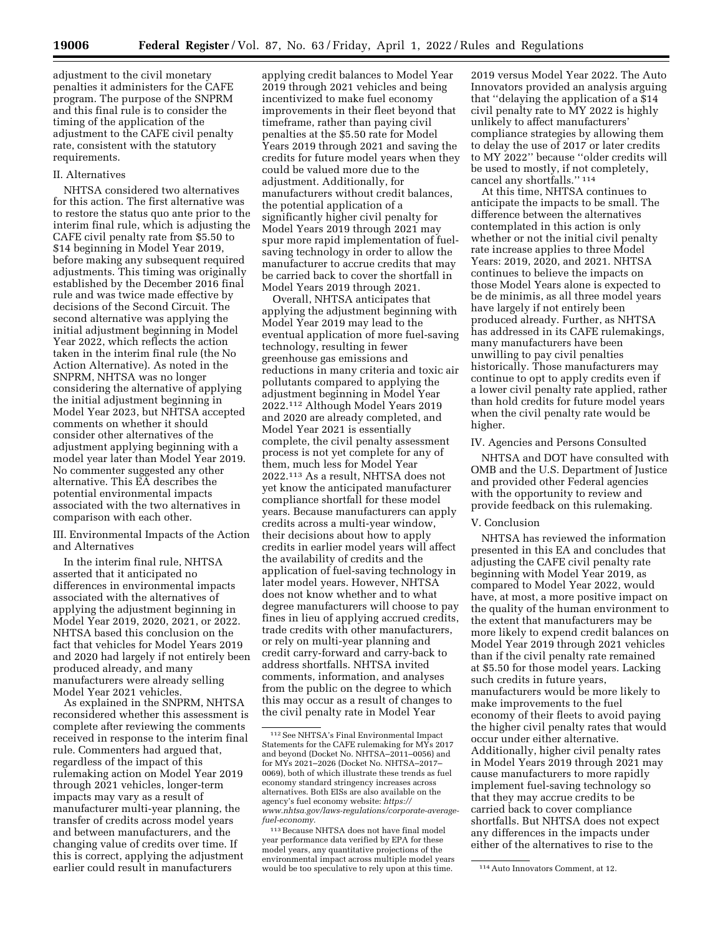adjustment to the civil monetary penalties it administers for the CAFE program. The purpose of the SNPRM and this final rule is to consider the timing of the application of the adjustment to the CAFE civil penalty rate, consistent with the statutory requirements.

### II. Alternatives

NHTSA considered two alternatives for this action. The first alternative was to restore the status quo ante prior to the interim final rule, which is adjusting the CAFE civil penalty rate from \$5.50 to \$14 beginning in Model Year 2019, before making any subsequent required adjustments. This timing was originally established by the December 2016 final rule and was twice made effective by decisions of the Second Circuit. The second alternative was applying the initial adjustment beginning in Model Year 2022, which reflects the action taken in the interim final rule (the No Action Alternative). As noted in the SNPRM, NHTSA was no longer considering the alternative of applying the initial adjustment beginning in Model Year 2023, but NHTSA accepted comments on whether it should consider other alternatives of the adjustment applying beginning with a model year later than Model Year 2019. No commenter suggested any other alternative. This EA describes the potential environmental impacts associated with the two alternatives in comparison with each other.

III. Environmental Impacts of the Action and Alternatives

In the interim final rule, NHTSA asserted that it anticipated no differences in environmental impacts associated with the alternatives of applying the adjustment beginning in Model Year 2019, 2020, 2021, or 2022. NHTSA based this conclusion on the fact that vehicles for Model Years 2019 and 2020 had largely if not entirely been produced already, and many manufacturers were already selling Model Year 2021 vehicles.

As explained in the SNPRM, NHTSA reconsidered whether this assessment is complete after reviewing the comments received in response to the interim final rule. Commenters had argued that, regardless of the impact of this rulemaking action on Model Year 2019 through 2021 vehicles, longer-term impacts may vary as a result of manufacturer multi-year planning, the transfer of credits across model years and between manufacturers, and the changing value of credits over time. If this is correct, applying the adjustment earlier could result in manufacturers

applying credit balances to Model Year 2019 through 2021 vehicles and being incentivized to make fuel economy improvements in their fleet beyond that timeframe, rather than paying civil penalties at the \$5.50 rate for Model Years 2019 through 2021 and saving the credits for future model years when they could be valued more due to the adjustment. Additionally, for manufacturers without credit balances, the potential application of a significantly higher civil penalty for Model Years 2019 through 2021 may spur more rapid implementation of fuelsaving technology in order to allow the manufacturer to accrue credits that may be carried back to cover the shortfall in Model Years 2019 through 2021.

Overall, NHTSA anticipates that applying the adjustment beginning with Model Year 2019 may lead to the eventual application of more fuel-saving technology, resulting in fewer greenhouse gas emissions and reductions in many criteria and toxic air pollutants compared to applying the adjustment beginning in Model Year 2022.112 Although Model Years 2019 and 2020 are already completed, and Model Year 2021 is essentially complete, the civil penalty assessment process is not yet complete for any of them, much less for Model Year 2022.113 As a result, NHTSA does not yet know the anticipated manufacturer compliance shortfall for these model years. Because manufacturers can apply credits across a multi-year window, their decisions about how to apply credits in earlier model years will affect the availability of credits and the application of fuel-saving technology in later model years. However, NHTSA does not know whether and to what degree manufacturers will choose to pay fines in lieu of applying accrued credits, trade credits with other manufacturers, or rely on multi-year planning and credit carry-forward and carry-back to address shortfalls. NHTSA invited comments, information, and analyses from the public on the degree to which this may occur as a result of changes to the civil penalty rate in Model Year

2019 versus Model Year 2022. The Auto Innovators provided an analysis arguing that ''delaying the application of a \$14 civil penalty rate to MY 2022 is highly unlikely to affect manufacturers' compliance strategies by allowing them to delay the use of 2017 or later credits to MY 2022'' because ''older credits will be used to mostly, if not completely, cancel any shortfalls.'' 114

At this time, NHTSA continues to anticipate the impacts to be small. The difference between the alternatives contemplated in this action is only whether or not the initial civil penalty rate increase applies to three Model Years: 2019, 2020, and 2021. NHTSA continues to believe the impacts on those Model Years alone is expected to be de minimis, as all three model years have largely if not entirely been produced already. Further, as NHTSA has addressed in its CAFE rulemakings, many manufacturers have been unwilling to pay civil penalties historically. Those manufacturers may continue to opt to apply credits even if a lower civil penalty rate applied, rather than hold credits for future model years when the civil penalty rate would be higher.

### IV. Agencies and Persons Consulted

NHTSA and DOT have consulted with OMB and the U.S. Department of Justice and provided other Federal agencies with the opportunity to review and provide feedback on this rulemaking.

### V. Conclusion

NHTSA has reviewed the information presented in this EA and concludes that adjusting the CAFE civil penalty rate beginning with Model Year 2019, as compared to Model Year 2022, would have, at most, a more positive impact on the quality of the human environment to the extent that manufacturers may be more likely to expend credit balances on Model Year 2019 through 2021 vehicles than if the civil penalty rate remained at \$5.50 for those model years. Lacking such credits in future years, manufacturers would be more likely to make improvements to the fuel economy of their fleets to avoid paying the higher civil penalty rates that would occur under either alternative. Additionally, higher civil penalty rates in Model Years 2019 through 2021 may cause manufacturers to more rapidly implement fuel-saving technology so that they may accrue credits to be carried back to cover compliance shortfalls. But NHTSA does not expect any differences in the impacts under either of the alternatives to rise to the

<sup>112</sup>See NHTSA's Final Environmental Impact Statements for the CAFE rulemaking for MYs 2017 and beyond (Docket No. NHTSA–2011–0056) and for MYs 2021–2026 (Docket No. NHTSA–2017– 0069), both of which illustrate these trends as fuel economy standard stringency increases across alternatives. Both EISs are also available on the agency's fuel economy website: *[https://](https://www.nhtsa.gov/laws-regulations/corporate-average-fuel-economy) [www.nhtsa.gov/laws-regulations/corporate-average](https://www.nhtsa.gov/laws-regulations/corporate-average-fuel-economy)[fuel-economy.](https://www.nhtsa.gov/laws-regulations/corporate-average-fuel-economy)* 

<sup>113</sup>Because NHTSA does not have final model year performance data verified by EPA for these model years, any quantitative projections of the environmental impact across multiple model years would be too speculative to rely upon at this time. <sup>114</sup> Auto Innovators Comment, at 12.